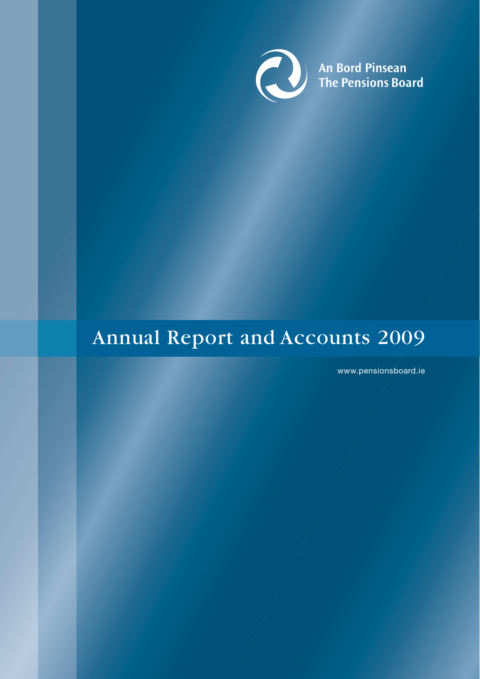

# Annual Report and Accounts 2009

www.pensionsboard.ie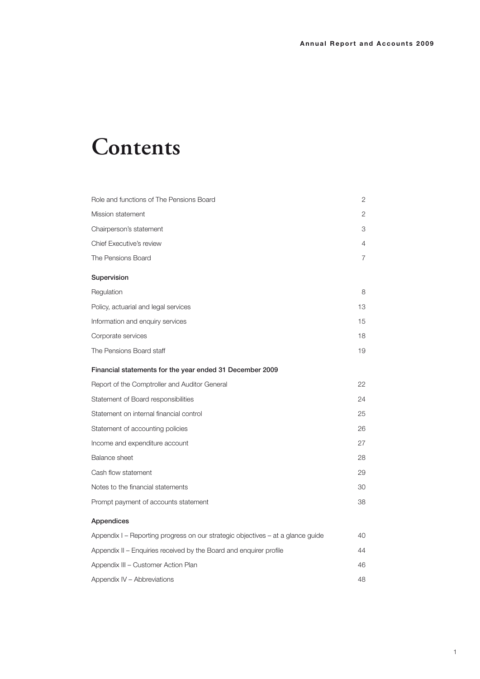# **Contents**

| Role and functions of The Pensions Board                                        | 2              |
|---------------------------------------------------------------------------------|----------------|
| Mission statement                                                               | 2              |
| Chairperson's statement                                                         | 3              |
| Chief Executive's review                                                        | 4              |
| The Pensions Board                                                              | $\overline{7}$ |
| Supervision                                                                     |                |
| Regulation                                                                      | 8              |
| Policy, actuarial and legal services                                            | 13             |
| Information and enquiry services                                                | 15             |
| Corporate services                                                              | 18             |
| The Pensions Board staff                                                        | 19             |
| Financial statements for the year ended 31 December 2009                        |                |
| Report of the Comptroller and Auditor General                                   | 22             |
| Statement of Board responsibilities                                             | 24             |
| Statement on internal financial control                                         | 25             |
| Statement of accounting policies                                                | 26             |
| Income and expenditure account                                                  | 27             |
| Balance sheet                                                                   | 28             |
| Cash flow statement                                                             | 29             |
| Notes to the financial statements                                               | 30             |
| Prompt payment of accounts statement                                            | 38             |
| Appendices                                                                      |                |
| Appendix I - Reporting progress on our strategic objectives - at a glance guide | 40             |
| Appendix II – Enquiries received by the Board and enquirer profile              | 44             |
| Appendix III – Customer Action Plan                                             | 46             |
| Appendix IV - Abbreviations                                                     | 48             |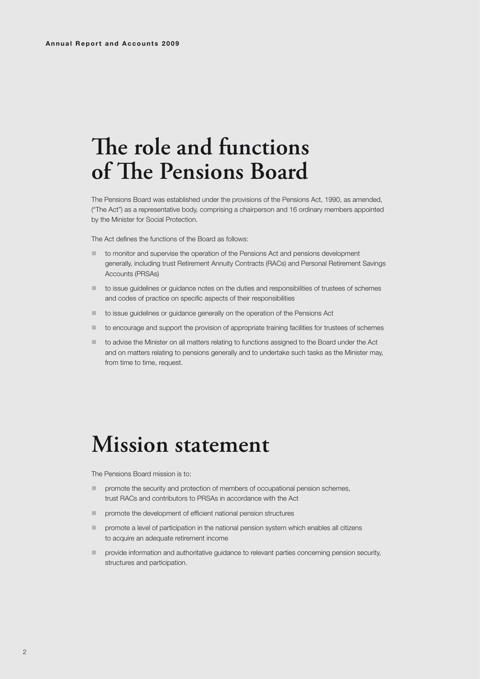# **The role and functions of The Pensions Board**

The Pensions Board was established under the provisions of the Pensions Act, 1990, as amended, ("The Act") as a representative body, comprising a chairperson and 16 ordinary members appointed by the Minister for Social Protection.

The Act defines the functions of the Board as follows:

- to monitor and supervise the operation of the Pensions Act and pensions development generally, including trust Retirement Annuity Contracts (RACs) and Personal Retirement Savings Accounts (PRSAs)
- n to issue guidelines or guidance notes on the duties and responsibilities of trustees of schemes and codes of practice on specific aspects of their responsibilities
- n to issue guidelines or guidance generally on the operation of the Pensions Act
- $\blacksquare$  to encourage and support the provision of appropriate training facilities for trustees of schemes
- to advise the Minister on all matters relating to functions assigned to the Board under the Act and on matters relating to pensions generally and to undertake such tasks as the Minister may, from time to time, request.

# **Mission statement**

The Pensions Board mission is to:

- promote the security and protection of members of occupational pension schemes, trust RACs and contributors to PRSAs in accordance with the Act
- n promote the development of efficient national pension structures
- n promote a level of participation in the national pension system which enables all citizens to acquire an adequate retirement income
- n provide information and authoritative guidance to relevant parties concerning pension security, structures and participation.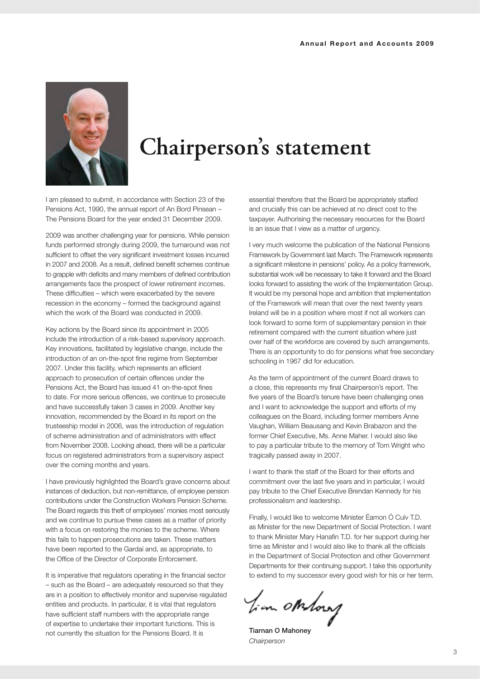

# **Chairperson's statement**

I am pleased to submit, in accordance with Section 23 of the Pensions Act, 1990, the annual report of An Bord Pinsean – The Pensions Board for the year ended 31 December 2009.

2009 was another challenging year for pensions. While pension funds performed strongly during 2009, the turnaround was not sufficient to offset the very significant investment losses incurred in 2007 and 2008. As a result, defined benefit schemes continue to grapple with deficits and many members of defined contribution arrangements face the prospect of lower retirement incomes. These difficulties – which were exacerbated by the severe recession in the economy – formed the background against which the work of the Board was conducted in 2009.

Key actions by the Board since its appointment in 2005 include the introduction of a risk-based supervisory approach. Key innovations, facilitated by legislative change, include the introduction of an on-the-spot fine regime from September 2007. Under this facility, which represents an efficient approach to prosecution of certain offences under the Pensions Act, the Board has issued 41 on-the-spot fines to date. For more serious offences, we continue to prosecute and have successfully taken 3 cases in 2009. Another key innovation, recommended by the Board in its report on the trusteeship model in 2006, was the introduction of regulation of scheme administration and of administrators with effect from November 2008. Looking ahead, there will be a particular focus on registered administrators from a supervisory aspect over the coming months and years.

I have previously highlighted the Board's grave concerns about instances of deduction, but non-remittance, of employee pension contributions under the Construction Workers Pension Scheme. The Board regards this theft of employees' monies most seriously and we continue to pursue these cases as a matter of priority with a focus on restoring the monies to the scheme. Where this fails to happen prosecutions are taken. These matters have been reported to the Gardaí and, as appropriate, to the Office of the Director of Corporate Enforcement.

It is imperative that regulators operating in the financial sector – such as the Board – are adequately resourced so that they are in a position to effectively monitor and supervise regulated entities and products. In particular, it is vital that regulators have sufficient staff numbers with the appropriate range of expertise to undertake their important functions. This is not currently the situation for the Pensions Board. It is

essential therefore that the Board be appropriately staffed and crucially this can be achieved at no direct cost to the taxpayer. Authorising the necessary resources for the Board is an issue that I view as a matter of urgency.

I very much welcome the publication of the National Pensions Framework by Government last March. The Framework represents a significant milestone in pensions' policy. As a policy framework, substantial work will be necessary to take it forward and the Board looks forward to assisting the work of the Implementation Group. It would be my personal hope and ambition that implementation of the Framework will mean that over the next twenty years Ireland will be in a position where most if not all workers can look forward to some form of supplementary pension in their retirement compared with the current situation where just over half of the workforce are covered by such arrangements. There is an opportunity to do for pensions what free secondary schooling in 1967 did for education.

As the term of appointment of the current Board draws to a close, this represents my final Chairperson's report. The five years of the Board's tenure have been challenging ones and I want to acknowledge the support and efforts of my colleagues on the Board, including former members Anne Vaughan, William Beausang and Kevin Brabazon and the former Chief Executive, Ms. Anne Maher. I would also like to pay a particular tribute to the memory of Tom Wright who tragically passed away in 2007.

I want to thank the staff of the Board for their efforts and commitment over the last five years and in particular, I would pay tribute to the Chief Executive Brendan Kennedy for his professionalism and leadership.

Finally, I would like to welcome Minister Éamon Ó Cuív T.D. as Minister for the new Department of Social Protection. I want to thank Minister Mary Hanafin T.D. for her support during her time as Minister and I would also like to thank all the officials in the Department of Social Protection and other Government Departments for their continuing support. I take this opportunity to extend to my successor every good wish for his or her term.

tion otherary

Tiarnan O Mahoney *Chairperson*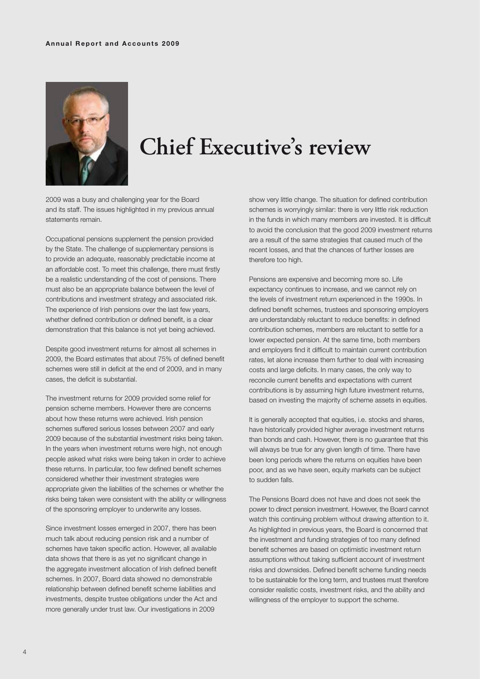

# **Chief Executive's review**

2009 was a busy and challenging year for the Board and its staff. The issues highlighted in my previous annual statements remain.

Occupational pensions supplement the pension provided by the State. The challenge of supplementary pensions is to provide an adequate, reasonably predictable income at an affordable cost. To meet this challenge, there must firstly be a realistic understanding of the cost of pensions. There must also be an appropriate balance between the level of contributions and investment strategy and associated risk. The experience of Irish pensions over the last few years, whether defined contribution or defined benefit, is a clear demonstration that this balance is not yet being achieved.

Despite good investment returns for almost all schemes in 2009, the Board estimates that about 75% of defined benefit schemes were still in deficit at the end of 2009, and in many cases, the deficit is substantial.

The investment returns for 2009 provided some relief for pension scheme members. However there are concerns about how these returns were achieved. Irish pension schemes suffered serious losses between 2007 and early 2009 because of the substantial investment risks being taken. In the years when investment returns were high, not enough people asked what risks were being taken in order to achieve these returns. In particular, too few defined benefit schemes considered whether their investment strategies were appropriate given the liabilities of the schemes or whether the risks being taken were consistent with the ability or willingness of the sponsoring employer to underwrite any losses.

Since investment losses emerged in 2007, there has been much talk about reducing pension risk and a number of schemes have taken specific action. However, all available data shows that there is as yet no significant change in the aggregate investment allocation of Irish defined benefit schemes. In 2007, Board data showed no demonstrable relationship between defined benefit scheme liabilities and investments, despite trustee obligations under the Act and more generally under trust law. Our investigations in 2009

show very little change. The situation for defined contribution schemes is worryingly similar: there is very little risk reduction in the funds in which many members are invested. It is difficult to avoid the conclusion that the good 2009 investment returns are a result of the same strategies that caused much of the recent losses, and that the chances of further losses are therefore too high.

Pensions are expensive and becoming more so. Life expectancy continues to increase, and we cannot rely on the levels of investment return experienced in the 1990s. In defined benefit schemes, trustees and sponsoring employers are understandably reluctant to reduce benefits: in defined contribution schemes, members are reluctant to settle for a lower expected pension. At the same time, both members and employers find it difficult to maintain current contribution rates, let alone increase them further to deal with increasing costs and large deficits. In many cases, the only way to reconcile current benefits and expectations with current contributions is by assuming high future investment returns, based on investing the majority of scheme assets in equities.

It is generally accepted that equities, i.e. stocks and shares, have historically provided higher average investment returns than bonds and cash. However, there is no guarantee that this will always be true for any given length of time. There have been long periods where the returns on equities have been poor, and as we have seen, equity markets can be subject to sudden falls.

The Pensions Board does not have and does not seek the power to direct pension investment. However, the Board cannot watch this continuing problem without drawing attention to it. As highlighted in previous years, the Board is concerned that the investment and funding strategies of too many defined benefit schemes are based on optimistic investment return assumptions without taking sufficient account of investment risks and downsides. Defined benefit scheme funding needs to be sustainable for the long term, and trustees must therefore consider realistic costs, investment risks, and the ability and willingness of the employer to support the scheme.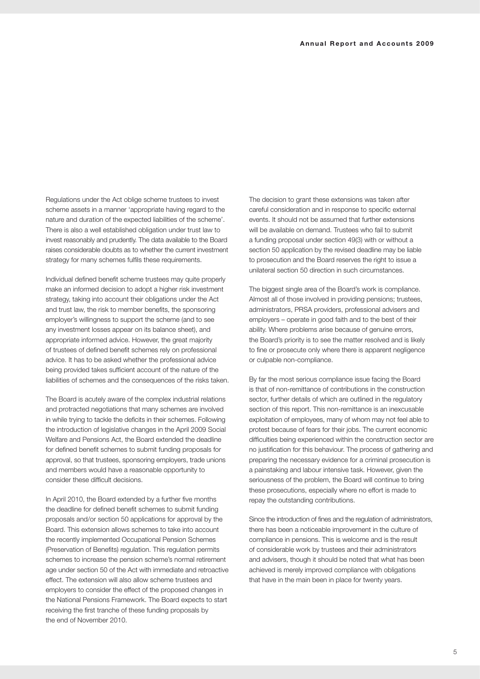Regulations under the Act oblige scheme trustees to invest scheme assets in a manner 'appropriate having regard to the nature and duration of the expected liabilities of the scheme'. There is also a well established obligation under trust law to invest reasonably and prudently. The data available to the Board raises considerable doubts as to whether the current investment strategy for many schemes fulfils these requirements.

Individual defined benefit scheme trustees may quite properly make an informed decision to adopt a higher risk investment strategy, taking into account their obligations under the Act and trust law, the risk to member benefits, the sponsoring employer's willingness to support the scheme (and to see any investment losses appear on its balance sheet), and appropriate informed advice. However, the great majority of trustees of defined benefit schemes rely on professional advice. It has to be asked whether the professional advice being provided takes sufficient account of the nature of the liabilities of schemes and the consequences of the risks taken.

The Board is acutely aware of the complex industrial relations and protracted negotiations that many schemes are involved in while trying to tackle the deficits in their schemes. Following the introduction of legislative changes in the April 2009 Social Welfare and Pensions Act, the Board extended the deadline for defined benefit schemes to submit funding proposals for approval, so that trustees, sponsoring employers, trade unions and members would have a reasonable opportunity to consider these difficult decisions.

In April 2010, the Board extended by a further five months the deadline for defined benefit schemes to submit funding proposals and/or section 50 applications for approval by the Board. This extension allows schemes to take into account the recently implemented Occupational Pension Schemes (Preservation of Benefits) regulation. This regulation permits schemes to increase the pension scheme's normal retirement age under section 50 of the Act with immediate and retroactive effect. The extension will also allow scheme trustees and employers to consider the effect of the proposed changes in the National Pensions Framework. The Board expects to start receiving the first tranche of these funding proposals by the end of November 2010.

The decision to grant these extensions was taken after careful consideration and in response to specific external events. It should not be assumed that further extensions will be available on demand. Trustees who fail to submit a funding proposal under section 49(3) with or without a section 50 application by the revised deadline may be liable to prosecution and the Board reserves the right to issue a unilateral section 50 direction in such circumstances.

The biggest single area of the Board's work is compliance. Almost all of those involved in providing pensions; trustees, administrators, PRSA providers, professional advisers and employers – operate in good faith and to the best of their ability. Where problems arise because of genuine errors, the Board's priority is to see the matter resolved and is likely to fine or prosecute only where there is apparent negligence or culpable non-compliance.

By far the most serious compliance issue facing the Board is that of non-remittance of contributions in the construction sector, further details of which are outlined in the regulatory section of this report. This non-remittance is an inexcusable exploitation of employees, many of whom may not feel able to protest because of fears for their jobs. The current economic difficulties being experienced within the construction sector are no justification for this behaviour. The process of gathering and preparing the necessary evidence for a criminal prosecution is a painstaking and labour intensive task. However, given the seriousness of the problem, the Board will continue to bring these prosecutions, especially where no effort is made to repay the outstanding contributions.

Since the introduction of fines and the regulation of administrators, there has been a noticeable improvement in the culture of compliance in pensions. This is welcome and is the result of considerable work by trustees and their administrators and advisers, though it should be noted that what has been achieved is merely improved compliance with obligations that have in the main been in place for twenty years.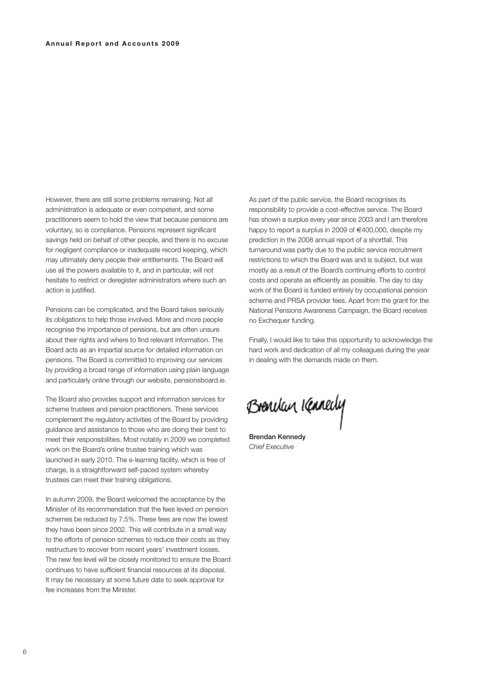However, there are still some problems remaining. Not all administration is adequate or even competent, and some practitioners seem to hold the view that because pensions are voluntary, so is compliance. Pensions represent significant savings held on behalf of other people, and there is no excuse for negligent compliance or inadequate record keeping, which may ultimately deny people their entitlements. The Board will use all the powers available to it, and in particular, will not hesitate to restrict or deregister administrators where such an action is justified.

Pensions can be complicated, and the Board takes seriously its obligations to help those involved. More and more people recognise the importance of pensions, but are often unsure about their rights and where to find relevant information. The Board acts as an impartial source for detailed information on pensions. The Board is committed to improving our services by providing a broad range of information using plain language and particularly online through our website, pensionsboard.ie.

The Board also provides support and information services for scheme trustees and pension practitioners. These services complement the regulatory activities of the Board by providing guidance and assistance to those who are doing their best to meet their responsibilities. Most notably in 2009 we completed work on the Board's online trustee training which was launched in early 2010. The e-learning facility, which is free of charge, is a straightforward self-paced system whereby trustees can meet their training obligations.

In autumn 2009, the Board welcomed the acceptance by the Minister of its recommendation that the fees levied on pension schemes be reduced by 7.5%. These fees are now the lowest they have been since 2002. This will contribute in a small way to the efforts of pension schemes to reduce their costs as they restructure to recover from recent years' investment losses. The new fee level will be closely monitored to ensure the Board continues to have sufficient financial resources at its disposal. It may be necessary at some future date to seek approval for fee increases from the Minister.

As part of the public service, the Board recognises its responsibility to provide a cost-effective service. The Board has shown a surplus every year since 2003 and I am therefore happy to report a surplus in 2009 of €400,000, despite my prediction in the 2008 annual report of a shortfall. This turnaround was partly due to the public service recruitment restrictions to which the Board was and is subject, but was mostly as a result of the Board's continuing efforts to control costs and operate as efficiently as possible. The day to day work of the Board is funded entirely by occupational pension scheme and PRSA provider fees. Apart from the grant for the National Pensions Awareness Campaign, the Board receives no Exchequer funding.

Finally, I would like to take this opportunity to acknowledge the hard work and dedication of all my colleagues during the year in dealing with the demands made on them.

Brenckan Kennedy

Brendan Kennedy *Chief Executive*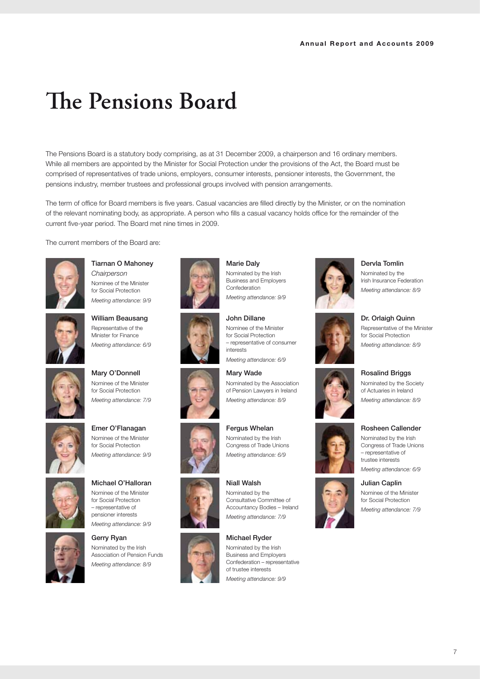# **The Pensions Board**

The Pensions Board is a statutory body comprising, as at 31 December 2009, a chairperson and 16 ordinary members. While all members are appointed by the Minister for Social Protection under the provisions of the Act, the Board must be comprised of representatives of trade unions, employers, consumer interests, pensioner interests, the Government, the pensions industry, member trustees and professional groups involved with pension arrangements.

The term of office for Board members is five years. Casual vacancies are filled directly by the Minister, or on the nomination of the relevant nominating body, as appropriate. A person who fills a casual vacancy holds office for the remainder of the current five-year period. The Board met nine times in 2009.

> Marie Daly Nominated by the Irish Business and Employers Confederation *Meeting attendance: 9/9*

John Dillane

interests

Mary Wade

Fergus Whelan Nominated by the Irish Congress of Trade Unions *Meeting attendance: 6/9*

Niall Walsh Nominated by the Consultative Committee of Accountancy Bodies – Ireland *Meeting attendance: 7/9*

Nominated by the Association of Pension Lawyers in Ireland *Meeting attendance: 8/9*

for Social Protection

The current members of the Board are:



Tiarnan O Mahoney *Chairperson* Nominee of the Minister for Social Protection



*Meeting attendance: 9/9* William Beausang Representative of the

Minister for Finance *Meeting attendance: 6/9*





for Social Protection *Meeting attendance: 9/9* Michael O'Halloran

Emer O'Flanagan Nominee of the Minister

Nominee of the Minister for Social Protection – representative of pensioner interests *Meeting attendance: 9/9*

Gerry Ryan Nominated by the Irish Association of Pension Funds *Meeting attendance: 8/9*













Michael Ryder Nominated by the Irish Business and Employers Confederation – representative of trustee interests *Meeting attendance: 9/9*



Dervla Tomlin Nominated by the Irish Insurance Federation *Meeting attendance: 8/9*



Dr. Orlaigh Quinn Representative of the Minister for Social Protection *Meeting attendance: 8/9*





– representative of trustee interests

Julian Caplin Nominee of the Minister for Social Protection *Meeting attendance: 7/9*



of Actuaries in Ireland *Meeting attendance: 8/9*

Rosalind Briggs Nominated by the Society

Rosheen Callender Nominated by the Irish Congress of Trade Unions

*Meeting attendance: 6/9*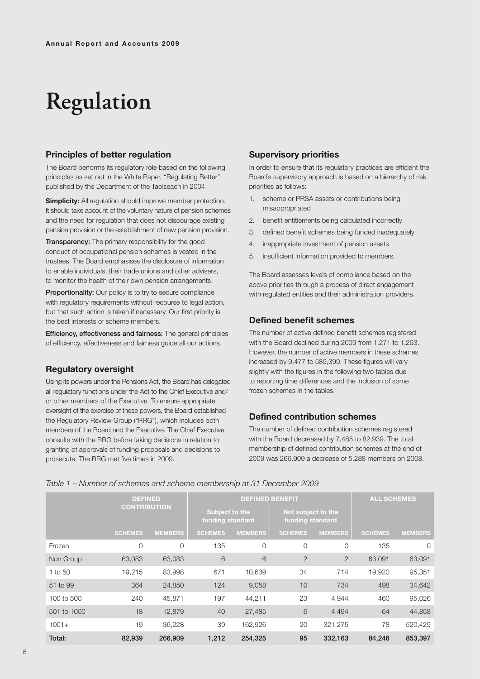# **Regulation**

#### **Principles of better regulation**

The Board performs its regulatory role based on the following principles as set out in the White Paper, "Regulating Better" published by the Department of the Taoiseach in 2004.

**Simplicity:** All regulation should improve member protection. It should take account of the voluntary nature of pension schemes and the need for regulation that does not discourage existing pension provision or the establishment of new pension provision.

Transparency: The primary responsibility for the good conduct of occupational pension schemes is vested in the trustees. The Board emphasises the disclosure of information to enable individuals, their trade unions and other advisers, to monitor the health of their own pension arrangements.

Proportionality: Our policy is to try to secure compliance with regulatory requirements without recourse to legal action, but that such action is taken if necessary. Our first priority is the best interests of scheme members.

Efficiency, effectiveness and fairness: The general principles of efficiency, effectiveness and fairness guide all our actions.

#### **Regulatory oversight**

Using its powers under the Pensions Act, the Board has delegated all regulatory functions under the Act to the Chief Executive and/ or other members of the Executive. To ensure appropriate oversight of the exercise of these powers, the Board established the Regulatory Review Group ("RRG"), which includes both members of the Board and the Executive. The Chief Executive consults with the RRG before taking decisions in relation to granting of approvals of funding proposals and decisions to prosecute. The RRG met five times in 2009.

#### **Supervisory priorities**

In order to ensure that its regulatory practices are efficient the Board's supervisory approach is based on a hierarchy of risk priorities as follows:

- 1. scheme or PRSA assets or contributions being misappropriated
- 2. benefit entitlements being calculated incorrectly
- 3. defined benefit schemes being funded inadequately
- 4. inappropriate investment of pension assets
- 5. insufficient information provided to members.

The Board assesses levels of compliance based on the above priorities through a process of direct engagement with regulated entities and their administration providers.

#### **Defined benefit schemes**

The number of active defined benefit schemes registered with the Board declined during 2009 from 1,271 to 1,263. However, the number of active members in these schemes increased by 9,477 to 589,399. These figures will vary slightly with the figures in the following two tables due to reporting time differences and the inclusion of some frozen schemes in the tables.

#### **Defined contribution schemes**

The number of defined contribution schemes registered with the Board decreased by 7,485 to 82,939. The total membership of defined contribution schemes at the end of 2009 was 266,909 a decrease of 5,288 members on 2008.

#### *Table 1 – Number of schemes and scheme membership at 31 December 2009*

|             | <b>DEFINED</b>      |                | <b>DEFINED BENEFIT</b>                    |                |                                        |                | <b>ALL SCHEMES</b> |                |
|-------------|---------------------|----------------|-------------------------------------------|----------------|----------------------------------------|----------------|--------------------|----------------|
|             | <b>CONTRIBUTION</b> |                | <b>Subject to the</b><br>funding standard |                | Not subject to the<br>funding standard |                |                    |                |
|             | <b>SCHEMES</b>      | <b>MEMBERS</b> | <b>SCHEMES</b>                            | <b>MEMBERS</b> | <b>SCHEMES</b>                         | <b>MEMBERS</b> | <b>SCHEMES</b>     | <b>MEMBERS</b> |
| Frozen      | 0                   | 0              | 135                                       | 0              | 0                                      | 0              | 135                | $\Omega$       |
| Non Group   | 63,083              | 63,083         | 6                                         | 6              | $\overline{2}$                         | $\overline{2}$ | 63,091             | 63,091         |
| 1 to 50     | 19,215              | 83,998         | 671                                       | 10,639         | 34                                     | 714            | 19,920             | 95,351         |
| 51 to 99    | 364                 | 24,850         | 124                                       | 9,058          | 10                                     | 734            | 498                | 34,642         |
| 100 to 500  | 240                 | 45.871         | 197                                       | 44,211         | 23                                     | 4.944          | 460                | 95.026         |
| 501 to 1000 | 18                  | 12,879         | 40                                        | 27,485         | 6                                      | 4,494          | 64                 | 44,858         |
| $1001+$     | 19                  | 36,228         | 39                                        | 162,926        | 20                                     | 321,275        | 78                 | 520,429        |
| Total:      | 82,939              | 266,909        | 1,212                                     | 254,325        | 95                                     | 332,163        | 84,246             | 853,397        |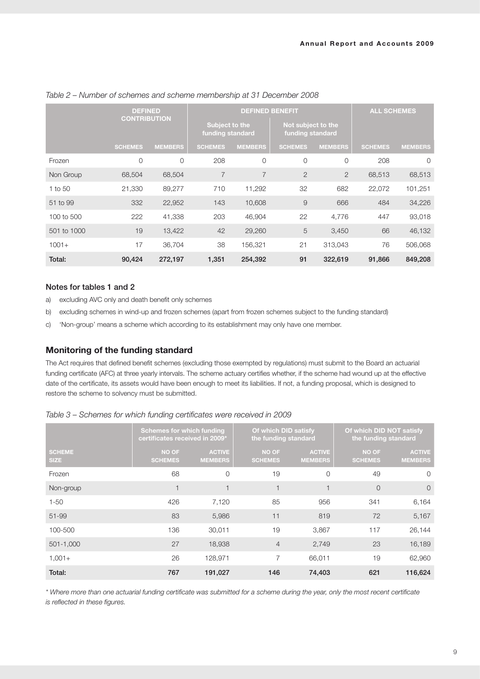|             | <b>DEFINED</b>      |                | <b>DEFINED BENEFIT</b>             |                |                                        |                | <b>ALL SCHEMES</b> |                |
|-------------|---------------------|----------------|------------------------------------|----------------|----------------------------------------|----------------|--------------------|----------------|
|             | <b>CONTRIBUTION</b> |                | Subject to the<br>funding standard |                | Not subject to the<br>funding standard |                |                    |                |
|             | <b>SCHEMES</b>      | <b>MEMBERS</b> | <b>SCHEMES</b>                     | <b>MEMBERS</b> | <b>SCHEMES</b>                         | <b>MEMBERS</b> | <b>SCHEMES</b>     | <b>MEMBERS</b> |
| Frozen      | $\mathbf 0$         | 0              | 208                                | $\mathbf 0$    | $\overline{0}$                         | $\circ$        | 208                | $\Omega$       |
| Non Group   | 68,504              | 68,504         | $\overline{7}$                     | $\overline{7}$ | 2                                      | 2              | 68,513             | 68,513         |
| 1 to 50     | 21,330              | 89,277         | 710                                | 11,292         | 32                                     | 682            | 22,072             | 101,251        |
| 51 to 99    | 332                 | 22,952         | 143                                | 10,608         | 9                                      | 666            | 484                | 34,226         |
| 100 to 500  | 222                 | 41,338         | 203                                | 46,904         | 22                                     | 4.776          | 447                | 93,018         |
| 501 to 1000 | 19                  | 13,422         | 42                                 | 29,260         | 5                                      | 3,450          | 66                 | 46,132         |
| $1001+$     | 17                  | 36,704         | 38                                 | 156,321        | 21                                     | 313,043        | 76                 | 506,068        |
| Total:      | 90,424              | 272,197        | 1,351                              | 254,392        | 91                                     | 322,619        | 91,866             | 849,208        |

#### *Table 2 – Number of schemes and scheme membership at 31 December 2008*

#### Notes for tables 1 and 2

- a) excluding AVC only and death benefit only schemes
- b) excluding schemes in wind-up and frozen schemes (apart from frozen schemes subject to the funding standard)
- c) 'Non-group' means a scheme which according to its establishment may only have one member.

#### **Monitoring of the funding standard**

The Act requires that defined benefit schemes (excluding those exempted by regulations) must submit to the Board an actuarial funding certificate (AFC) at three yearly intervals. The scheme actuary certifies whether, if the scheme had wound up at the effective date of the certificate, its assets would have been enough to meet its liabilities. If not, a funding proposal, which is designed to restore the scheme to solvency must be submitted.

|  |  |  |  | Table 3 - Schemes for which funding certificates were received in 2009 |  |  |  |
|--|--|--|--|------------------------------------------------------------------------|--|--|--|
|--|--|--|--|------------------------------------------------------------------------|--|--|--|

|                              | <b>Schemes for which funding</b><br>certificates received in 2009* |                                 | Of which DID satisfy<br>the funding standard |                                 |                                | Of which DID NOT satisfy<br>the funding standard |
|------------------------------|--------------------------------------------------------------------|---------------------------------|----------------------------------------------|---------------------------------|--------------------------------|--------------------------------------------------|
| <b>SCHEME</b><br><b>SIZE</b> | <b>NO OF</b><br><b>SCHEMES</b>                                     | <b>ACTIVE</b><br><b>MEMBERS</b> | <b>NO OF</b><br><b>SCHEMES</b>               | <b>ACTIVE</b><br><b>MEMBERS</b> | <b>NO OF</b><br><b>SCHEMES</b> | <b>ACTIVE</b><br><b>MEMBERS</b>                  |
| Frozen                       | 68                                                                 | 0                               | 19                                           | 0                               | 49                             | $\Omega$                                         |
| Non-group                    |                                                                    |                                 |                                              | 1                               | $\overline{0}$                 | $\Omega$                                         |
| $1 - 50$                     | 426                                                                | 7,120                           | 85                                           | 956                             | 341                            | 6,164                                            |
| 51-99                        | 83                                                                 | 5,986                           | 11                                           | 819                             | 72                             | 5,167                                            |
| 100-500                      | 136                                                                | 30,011                          | 19                                           | 3,867                           | 117                            | 26,144                                           |
| 501-1,000                    | 27                                                                 | 18,938                          | $\overline{4}$                               | 2,749                           | 23                             | 16,189                                           |
| $1,001+$                     | 26                                                                 | 128.971                         | $\overline{7}$                               | 66,011                          | 19                             | 62,960                                           |
| Total:                       | 767                                                                | 191,027                         | 146                                          | 74,403                          | 621                            | 116,624                                          |

*\* Where more than one actuarial funding certificate was submitted for a scheme during the year, only the most recent certificate is reflected in these figures.*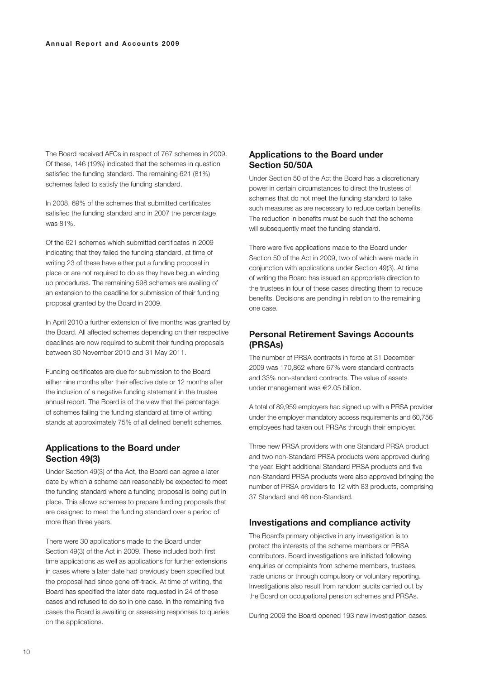The Board received AFCs in respect of 767 schemes in 2009. Of these, 146 (19%) indicated that the schemes in question satisfied the funding standard. The remaining 621 (81%) schemes failed to satisfy the funding standard.

In 2008, 69% of the schemes that submitted certificates satisfied the funding standard and in 2007 the percentage was 81%.

Of the 621 schemes which submitted certificates in 2009 indicating that they failed the funding standard, at time of writing 23 of these have either put a funding proposal in place or are not required to do as they have begun winding up procedures. The remaining 598 schemes are availing of an extension to the deadline for submission of their funding proposal granted by the Board in 2009.

In April 2010 a further extension of five months was granted by the Board. All affected schemes depending on their respective deadlines are now required to submit their funding proposals between 30 November 2010 and 31 May 2011.

Funding certificates are due for submission to the Board either nine months after their effective date or 12 months after the inclusion of a negative funding statement in the trustee annual report. The Board is of the view that the percentage of schemes failing the funding standard at time of writing stands at approximately 75% of all defined benefit schemes.

#### **Applications to the Board under Section 49(3)**

Under Section 49(3) of the Act, the Board can agree a later date by which a scheme can reasonably be expected to meet the funding standard where a funding proposal is being put in place. This allows schemes to prepare funding proposals that are designed to meet the funding standard over a period of more than three years.

There were 30 applications made to the Board under Section 49(3) of the Act in 2009. These included both first time applications as well as applications for further extensions in cases where a later date had previously been specified but the proposal had since gone off-track. At time of writing, the Board has specified the later date requested in 24 of these cases and refused to do so in one case. In the remaining five cases the Board is awaiting or assessing responses to queries on the applications.

#### **Applications to the Board under Section 50/50A**

Under Section 50 of the Act the Board has a discretionary power in certain circumstances to direct the trustees of schemes that do not meet the funding standard to take such measures as are necessary to reduce certain benefits. The reduction in benefits must be such that the scheme will subsequently meet the funding standard.

There were five applications made to the Board under Section 50 of the Act in 2009, two of which were made in conjunction with applications under Section 49(3). At time of writing the Board has issued an appropriate direction to the trustees in four of these cases directing them to reduce benefits. Decisions are pending in relation to the remaining one case.

#### **Personal Retirement Savings Accounts (PRSAs)**

The number of PRSA contracts in force at 31 December 2009 was 170,862 where 67% were standard contracts and 33% non-standard contracts. The value of assets under management was €2.05 billion.

A total of 89,959 employers had signed up with a PRSA provider under the employer mandatory access requirements and 60,756 employees had taken out PRSAs through their employer.

Three new PRSA providers with one Standard PRSA product and two non-Standard PRSA products were approved during the year. Eight additional Standard PRSA products and five non-Standard PRSA products were also approved bringing the number of PRSA providers to 12 with 83 products, comprising 37 Standard and 46 non-Standard.

#### **Investigations and compliance activity**

The Board's primary objective in any investigation is to protect the interests of the scheme members or PRSA contributors. Board investigations are initiated following enquiries or complaints from scheme members, trustees, trade unions or through compulsory or voluntary reporting. Investigations also result from random audits carried out by the Board on occupational pension schemes and PRSAs.

During 2009 the Board opened 193 new investigation cases.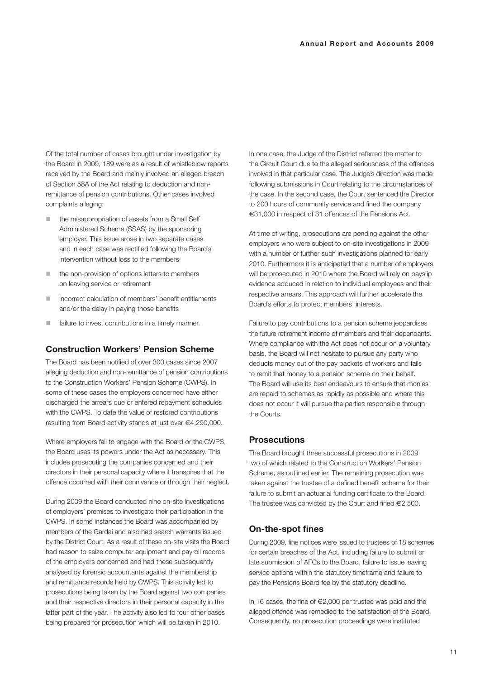Of the total number of cases brought under investigation by the Board in 2009, 189 were as a result of whistleblow reports received by the Board and mainly involved an alleged breach of Section 58A of the Act relating to deduction and nonremittance of pension contributions. Other cases involved complaints alleging:

- $\blacksquare$  the misappropriation of assets from a Small Self Administered Scheme (SSAS) by the sponsoring employer. This issue arose in two separate cases and in each case was rectified following the Board's intervention without loss to the members
- $n_{\text{th}}$  the non-provision of options letters to members on leaving service or retirement
- $\blacksquare$  incorrect calculation of members' benefit entitlements and/or the delay in paying those benefits
- $\blacksquare$  failure to invest contributions in a timely manner.

#### **Construction Workers' Pension Scheme**

The Board has been notified of over 300 cases since 2007 alleging deduction and non-remittance of pension contributions to the Construction Workers' Pension Scheme (CWPS). In some of these cases the employers concerned have either discharged the arrears due or entered repayment schedules with the CWPS. To date the value of restored contributions resulting from Board activity stands at just over €4,290,000.

Where employers fail to engage with the Board or the CWPS, the Board uses its powers under the Act as necessary. This includes prosecuting the companies concerned and their directors in their personal capacity where it transpires that the offence occurred with their connivance or through their neglect.

During 2009 the Board conducted nine on-site investigations of employers' premises to investigate their participation in the CWPS. In some instances the Board was accompanied by members of the Gardaí and also had search warrants issued by the District Court. As a result of these on-site visits the Board had reason to seize computer equipment and payroll records of the employers concerned and had these subsequently analysed by forensic accountants against the membership and remittance records held by CWPS. This activity led to prosecutions being taken by the Board against two companies and their respective directors in their personal capacity in the latter part of the year. The activity also led to four other cases being prepared for prosecution which will be taken in 2010.

In one case, the Judge of the District referred the matter to the Circuit Court due to the alleged seriousness of the offences involved in that particular case. The Judge's direction was made following submissions in Court relating to the circumstances of the case. In the second case, the Court sentenced the Director to 200 hours of community service and fined the company €31,000 in respect of 31 offences of the Pensions Act.

At time of writing, prosecutions are pending against the other employers who were subject to on-site investigations in 2009 with a number of further such investigations planned for early 2010. Furthermore it is anticipated that a number of employers will be prosecuted in 2010 where the Board will rely on payslip evidence adduced in relation to individual employees and their respective arrears. This approach will further accelerate the Board's efforts to protect members' interests.

Failure to pay contributions to a pension scheme jeopardises the future retirement income of members and their dependants. Where compliance with the Act does not occur on a voluntary basis, the Board will not hesitate to pursue any party who deducts money out of the pay packets of workers and fails to remit that money to a pension scheme on their behalf. The Board will use its best endeavours to ensure that monies are repaid to schemes as rapidly as possible and where this does not occur it will pursue the parties responsible through the Courts.

#### **Prosecutions**

The Board brought three successful prosecutions in 2009 two of which related to the Construction Workers' Pension Scheme, as outlined earlier. The remaining prosecution was taken against the trustee of a defined benefit scheme for their failure to submit an actuarial funding certificate to the Board. The trustee was convicted by the Court and fined  $\in$ 2,500.

#### **On-the-spot fines**

During 2009, fine notices were issued to trustees of 18 schemes for certain breaches of the Act, including failure to submit or late submission of AFCs to the Board, failure to issue leaving service options within the statutory timeframe and failure to pay the Pensions Board fee by the statutory deadline.

In 16 cases, the fine of  $\in$  2,000 per trustee was paid and the alleged offence was remedied to the satisfaction of the Board. Consequently, no prosecution proceedings were instituted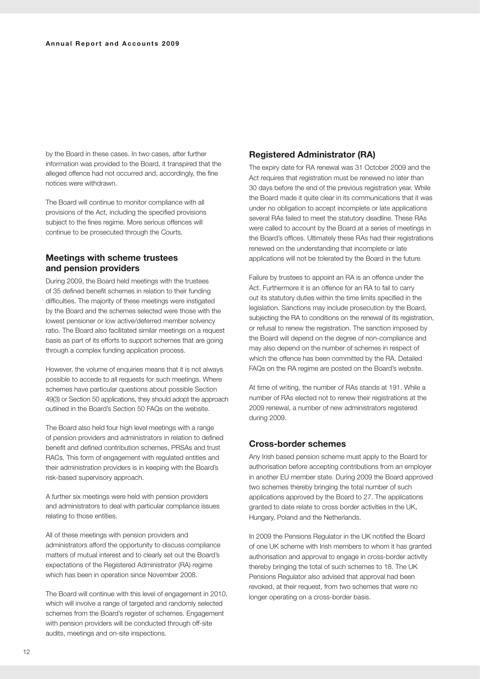by the Board in these cases. In two cases, after further information was provided to the Board, it transpired that the alleged offence had not occurred and, accordingly, the fine notices were withdrawn.

The Board will continue to monitor compliance with all provisions of the Act, including the specified provisions subject to the fines regime. More serious offences will continue to be prosecuted through the Courts.

#### **Meetings with scheme trustees and pension providers**

During 2009, the Board held meetings with the trustees of 35 defined benefit schemes in relation to their funding difficulties. The majority of these meetings were instigated by the Board and the schemes selected were those with the lowest pensioner or low active/deferred member solvency ratio. The Board also facilitated similar meetings on a request basis as part of its efforts to support schemes that are going through a complex funding application process.

However, the volume of enquiries means that it is not always possible to accede to all requests for such meetings. Where schemes have particular questions about possible Section 49(3) or Section 50 applications, they should adopt the approach outlined in the Board's Section 50 FAQs on the website.

The Board also held four high level meetings with a range of pension providers and administrators in relation to defined benefit and defined contribution schemes, PRSAs and trust RACs. This form of engagement with regulated entities and their administration providers is in keeping with the Board's risk-based supervisory approach.

A further six meetings were held with pension providers and administrators to deal with particular compliance issues relating to those entities.

All of these meetings with pension providers and administrators afford the opportunity to discuss compliance matters of mutual interest and to clearly set out the Board's expectations of the Registered Administrator (RA) regime which has been in operation since November 2008.

The Board will continue with this level of engagement in 2010, which will involve a range of targeted and randomly selected schemes from the Board's register of schemes. Engagement with pension providers will be conducted through off-site audits, meetings and on-site inspections.

#### **Registered Administrator (RA)**

The expiry date for RA renewal was 31 October 2009 and the Act requires that registration must be renewed no later than 30 days before the end of the previous registration year. While the Board made it quite clear in its communications that it was under no obligation to accept incomplete or late applications several RAs failed to meet the statutory deadline. These RAs were called to account by the Board at a series of meetings in the Board's offices. Ultimately these RAs had their registrations renewed on the understanding that incomplete or late applications will not be tolerated by the Board in the future.

Failure by trustees to appoint an RA is an offence under the Act. Furthermore it is an offence for an RA to fail to carry out its statutory duties within the time limits specified in the legislation. Sanctions may include prosecution by the Board, subjecting the RA to conditions on the renewal of its registration, or refusal to renew the registration. The sanction imposed by the Board will depend on the degree of non-compliance and may also depend on the number of schemes in respect of which the offence has been committed by the RA. Detailed FAQs on the RA regime are posted on the Board's website.

At time of writing, the number of RAs stands at 191. While a number of RAs elected not to renew their registrations at the 2009 renewal, a number of new administrators registered during 2009.

#### **Cross-border schemes**

Any Irish based pension scheme must apply to the Board for authorisation before accepting contributions from an employer in another EU member state. During 2009 the Board approved two schemes thereby bringing the total number of such applications approved by the Board to 27. The applications granted to date relate to cross border activities in the UK, Hungary, Poland and the Netherlands.

In 2009 the Pensions Regulator in the UK notified the Board of one UK scheme with Irish members to whom it has granted authorisation and approval to engage in cross-border activity thereby bringing the total of such schemes to 18. The UK Pensions Regulator also advised that approval had been revoked, at their request, from two schemes that were no longer operating on a cross-border basis.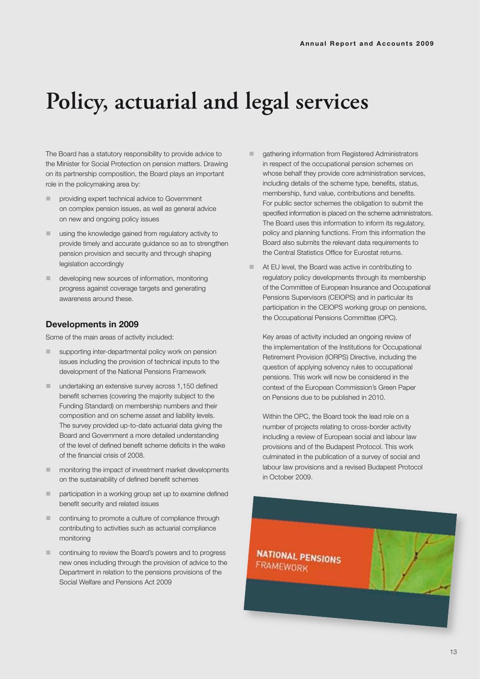# **Policy, actuarial and legal services**

The Board has a statutory responsibility to provide advice to the Minister for Social Protection on pension matters. Drawing on its partnership composition, the Board plays an important role in the policymaking area by:

- providing expert technical advice to Government on complex pension issues, as well as general advice on new and ongoing policy issues
- $\blacksquare$  using the knowledge gained from regulatory activity to provide timely and accurate guidance so as to strengthen pension provision and security and through shaping legislation accordingly
- n developing new sources of information, monitoring progress against coverage targets and generating awareness around these.

#### **Developments in 2009**

Some of the main areas of activity included:

- n supporting inter-departmental policy work on pension issues including the provision of technical inputs to the development of the National Pensions Framework
- $\Box$  undertaking an extensive survey across 1,150 defined benefit schemes (covering the majority subject to the Funding Standard) on membership numbers and their composition and on scheme asset and liability levels. The survey provided up-to-date actuarial data giving the Board and Government a more detailed understanding of the level of defined benefit scheme deficits in the wake of the financial crisis of 2008.
- **n** monitoring the impact of investment market developments on the sustainability of defined benefit schemes
- $\Box$  participation in a working group set up to examine defined benefit security and related issues
- $\Box$  continuing to promote a culture of compliance through contributing to activities such as actuarial compliance monitoring
- n continuing to review the Board's powers and to progress new ones including through the provision of advice to the Department in relation to the pensions provisions of the Social Welfare and Pensions Act 2009
- gathering information from Registered Administrators in respect of the occupational pension schemes on whose behalf they provide core administration services, including details of the scheme type, benefits, status, membership, fund value, contributions and benefits. For public sector schemes the obligation to submit the specified information is placed on the scheme administrators. The Board uses this information to inform its regulatory, policy and planning functions. From this information the Board also submits the relevant data requirements to the Central Statistics Office for Eurostat returns.
- At EU level, the Board was active in contributing to regulatory policy developments through its membership of the Committee of European Insurance and Occupational Pensions Supervisors (CEIOPS) and in particular its participation in the CEIOPS working group on pensions, the Occupational Pensions Committee (OPC).

 Key areas of activity included an ongoing review of the implementation of the Institutions for Occupational Retirement Provision (IORPS) Directive, including the question of applying solvency rules to occupational pensions. This work will now be considered in the context of the European Commission's Green Paper on Pensions due to be published in 2010.

 Within the OPC, the Board took the lead role on a number of projects relating to cross-border activity including a review of European social and labour law provisions and of the Budapest Protocol. This work culminated in the publication of a survey of social and labour law provisions and a revised Budapest Protocol in October 2009.

NATIONAL PENSIONS **FRAMEWORK**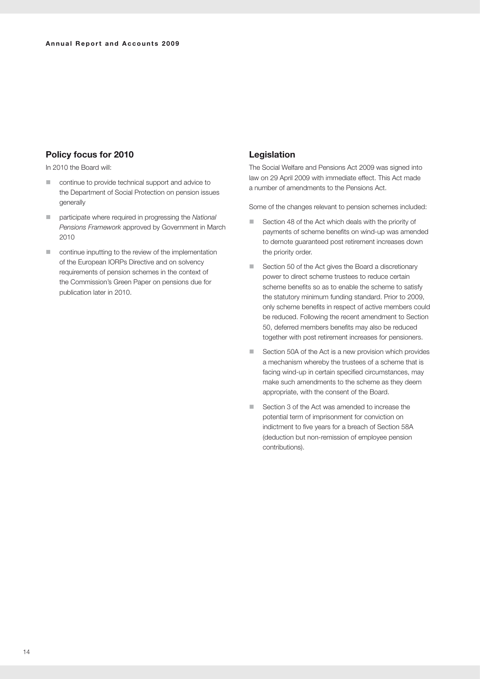### **Policy focus for 2010**

In 2010 the Board will:

- $\Box$  continue to provide technical support and advice to the Department of Social Protection on pension issues generally
- participate where required in progressing the *National Pensions Framework* approved by Government in March 2010
- $\blacksquare$  continue inputting to the review of the implementation of the European IORPs Directive and on solvency requirements of pension schemes in the context of the Commission's Green Paper on pensions due for publication later in 2010.

#### **Legislation**

The Social Welfare and Pensions Act 2009 was signed into law on 29 April 2009 with immediate effect. This Act made a number of amendments to the Pensions Act.

Some of the changes relevant to pension schemes included:

- Section 48 of the Act which deals with the priority of payments of scheme benefits on wind-up was amended to demote guaranteed post retirement increases down the priority order.
- Section 50 of the Act gives the Board a discretionary power to direct scheme trustees to reduce certain scheme benefits so as to enable the scheme to satisfy the statutory minimum funding standard. Prior to 2009, only scheme benefits in respect of active members could be reduced. Following the recent amendment to Section 50, deferred members benefits may also be reduced together with post retirement increases for pensioners.
- Section 50A of the Act is a new provision which provides a mechanism whereby the trustees of a scheme that is facing wind-up in certain specified circumstances, may make such amendments to the scheme as they deem appropriate, with the consent of the Board.
- Section 3 of the Act was amended to increase the potential term of imprisonment for conviction on indictment to five years for a breach of Section 58A (deduction but non-remission of employee pension contributions).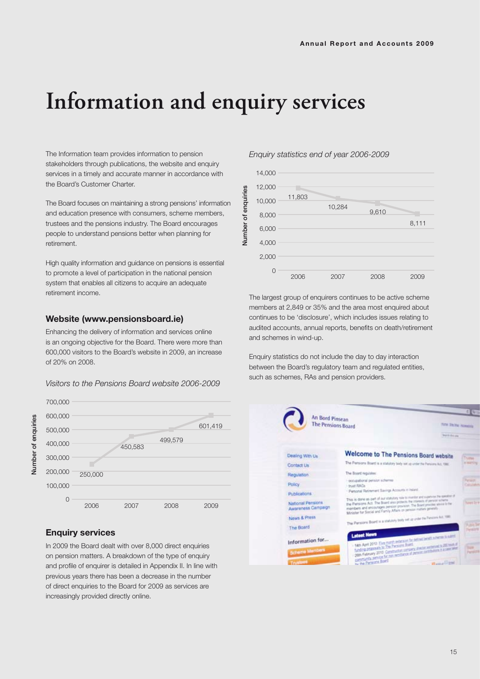# **Information and enquiry services**

The Information team provides information to pension stakeholders through publications, the website and enquiry services in a timely and accurate manner in accordance with the Board's Customer Charter.

The Board focuses on maintaining a strong pensions' information and education presence with consumers, scheme members, trustees and the pensions industry. The Board encourages people to understand pensions better when planning for retirement.

High quality information and guidance on pensions is essential to promote a level of participation in the national pension system that enables all citizens to acquire an adequate retirement income.

#### **Website (www.pensionsboard.ie)**

Enhancing the delivery of information and services online is an ongoing objective for the Board. There were more than 600,000 visitors to the Board's website in 2009, an increase of 20% on 2008.

*Visitors to the Pensions Board website 2006-2009*



#### **Enquiry services**

In 2009 the Board dealt with over 8,000 direct enquiries on pension matters. A breakdown of the type of enquiry and profile of enquirer is detailed in Appendix II. In line with previous years there has been a decrease in the number of direct enquiries to the Board for 2009 as services are increasingly provided directly online.

#### *Enquiry statistics end of year 2006-2009*



The largest group of enquirers continues to be active scheme members at 2,849 or 35% and the area most enquired about continues to be 'disclosure', which includes issues relating to audited accounts, annual reports, benefits on death/retirement and schemes in wind-up.

Enquiry statistics do not include the day to day interaction between the Board's regulatory team and regulated entities, such as schemes, RAs and pension providers.

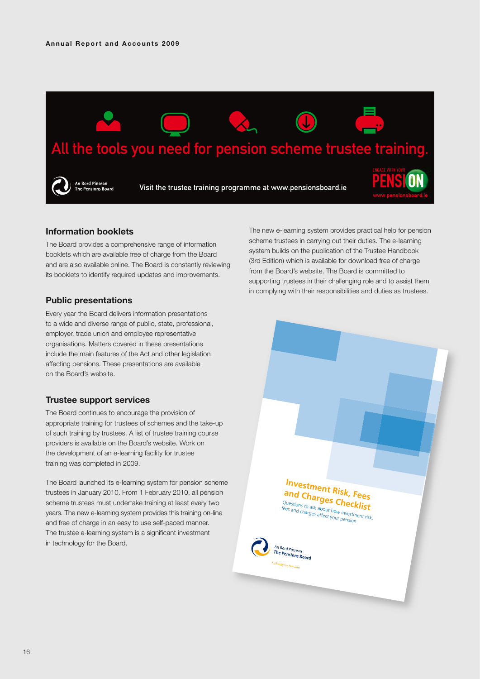

#### **Information booklets**

The Board provides a comprehensive range of information booklets which are available free of charge from the Board and are also available online. The Board is constantly reviewing its booklets to identify required updates and improvements.

#### **Public presentations**

to a wide and diverse range of public, state, professional,<br>employer, trade union and employee representative to a wide and diverse range of public, state, professional,<br>employer, trade union and employee representative<br>experience in Racco employer, trade union and employee representative<br>organisations. Matters covered in these presentations<br>in the limit of the contract of the contract of the contract of the contract of the contract of the contract of include the main features of the Act and other legislation moted the main readned or the rich data ether regionation<br>affecting pensions. These presentations are available<br>on the Board's website. on the Board's website.  $\bullet$  decreasing your contributions (however, this may depend on the charging structure  $\alpha$ Every year the Board delivers information presentations

## **Trustee support services**<br>The Beard continues to encourage the provision of

**The Board continues to encourage the provision of**<br>The Board continues to encourage the provision of The Board continues to encourage the provision of<br>appropriate training for trustees of schemes and the take-up appropriate training for trustees of schemes and the take-up<br>of such training by trustees. A list of trustee training course providers is available on the Board's website. Work on<br>the development of an e-learning facility for trustee<br>training was completed in 2009. training was completed in 2009. training was completed in 2009.<br>The Board launched its e-learning system for pension scheme providers is available on the Board's website. Work on

and free of charge in an easy to use self-paced manner. The trustee e-learning system is a significant investment The Board launched its e-learning system for pension schem<br>trustees in January 2010. From 1 February 2010, all pension<br>. trustees in January 2010. From 1 February 2010, all pensior<br>scheme trustees must undertake training at least every two in technology for the Board.<br> years. The new e-learning system provides this training on-line

The new e-learning system provides practical help for pension scheme trustees in carrying out their duties. The e-learning system builds on the publication of the Trustee Handbook (3rd Edition) which is available for download free of charge from the Board's website. The Board is committed to supporting trustees in their challenging role and to assist them in complying with their responsibilities and duties as trustees.



fees and charges affect your pension

An Bord Pinsean<br>**The Pen**si An Bord Pinsean -<br>**The Pensions Board** ority for Pensions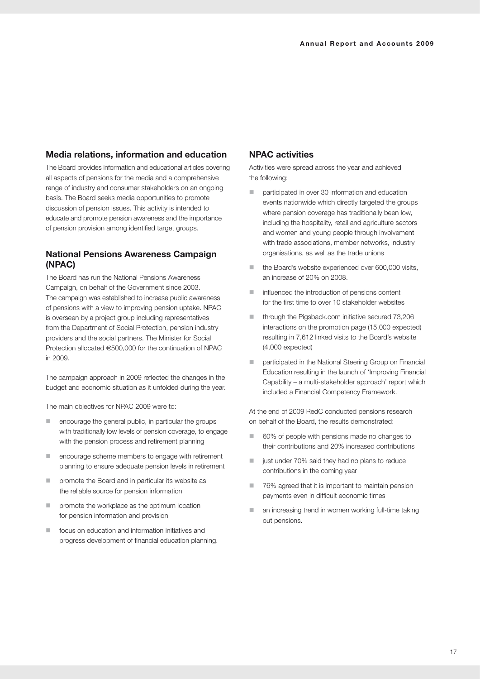#### **Media relations, information and education**

The Board provides information and educational articles covering all aspects of pensions for the media and a comprehensive range of industry and consumer stakeholders on an ongoing basis. The Board seeks media opportunities to promote discussion of pension issues. This activity is intended to educate and promote pension awareness and the importance of pension provision among identified target groups.

### **National Pensions Awareness Campaign (NPAC)**

The Board has run the National Pensions Awareness Campaign, on behalf of the Government since 2003. The campaign was established to increase public awareness of pensions with a view to improving pension uptake. NPAC is overseen by a project group including representatives from the Department of Social Protection, pension industry providers and the social partners. The Minister for Social Protection allocated €500,000 for the continuation of NPAC in 2009.

The campaign approach in 2009 reflected the changes in the budget and economic situation as it unfolded during the year.

The main objectives for NPAC 2009 were to:

- $\blacksquare$  encourage the general public, in particular the groups with traditionally low levels of pension coverage, to engage with the pension process and retirement planning
- $\blacksquare$  encourage scheme members to engage with retirement planning to ensure adequate pension levels in retirement
- **n** promote the Board and in particular its website as the reliable source for pension information
- $\blacksquare$  promote the workplace as the optimum location for pension information and provision
- $\blacksquare$  focus on education and information initiatives and progress development of financial education planning.

### **NPAC activities**

Activities were spread across the year and achieved the following:

- participated in over 30 information and education events nationwide which directly targeted the groups where pension coverage has traditionally been low, including the hospitality, retail and agriculture sectors and women and young people through involvement with trade associations, member networks, industry organisations, as well as the trade unions
- the Board's website experienced over 600,000 visits, an increase of 20% on 2008.
- $\blacksquare$  influenced the introduction of pensions content for the first time to over 10 stakeholder websites
- $\blacksquare$  through the Pigsback.com initiative secured 73,206 interactions on the promotion page (15,000 expected) resulting in 7,612 linked visits to the Board's website (4,000 expected)
- participated in the National Steering Group on Financial Education resulting in the launch of 'Improving Financial Capability – a multi-stakeholder approach' report which included a Financial Competency Framework.

At the end of 2009 RedC conducted pensions research on behalf of the Board, the results demonstrated:

- 60% of people with pensions made no changes to their contributions and 20% increased contributions
- ust under 70% said they had no plans to reduce contributions in the coming year
- 76% agreed that it is important to maintain pension payments even in difficult economic times
- an increasing trend in women working full-time taking out pensions.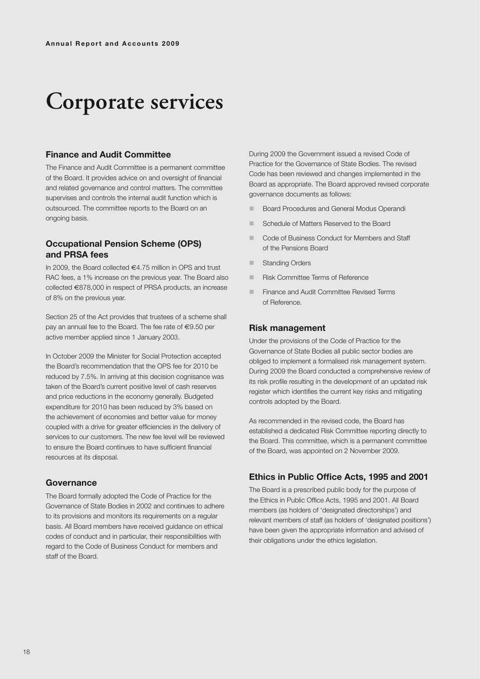# **Corporate services**

#### **Finance and Audit Committee**

The Finance and Audit Committee is a permanent committee of the Board. It provides advice on and oversight of financial and related governance and control matters. The committee supervises and controls the internal audit function which is outsourced. The committee reports to the Board on an ongoing basis.

#### **Occupational Pension Scheme (OPS) and PRSA fees**

In 2009, the Board collected €4.75 million in OPS and trust RAC fees, a 1% increase on the previous year. The Board also collected €878,000 in respect of PRSA products, an increase of 8% on the previous year.

Section 25 of the Act provides that trustees of a scheme shall pay an annual fee to the Board. The fee rate of €9.50 per active member applied since 1 January 2003.

In October 2009 the Minister for Social Protection accepted the Board's recommendation that the OPS fee for 2010 be reduced by 7.5%. In arriving at this decision cognisance was taken of the Board's current positive level of cash reserves and price reductions in the economy generally. Budgeted expenditure for 2010 has been reduced by 3% based on the achievement of economies and better value for money coupled with a drive for greater efficiencies in the delivery of services to our customers. The new fee level will be reviewed to ensure the Board continues to have sufficient financial resources at its disposal.

#### **Governance**

The Board formally adopted the Code of Practice for the Governance of State Bodies in 2002 and continues to adhere to its provisions and monitors its requirements on a regular basis. All Board members have received guidance on ethical codes of conduct and in particular, their responsibilities with regard to the Code of Business Conduct for members and staff of the Board.

During 2009 the Government issued a revised Code of Practice for the Governance of State Bodies. The revised Code has been reviewed and changes implemented in the Board as appropriate. The Board approved revised corporate governance documents as follows:

- n Board Procedures and General Modus Operandi
- **No. 3** Schedule of Matters Reserved to the Board
- Code of Business Conduct for Members and Staff of the Pensions Board
- Standing Orders
- **n** Risk Committee Terms of Reference
- **Finance and Audit Committee Revised Terms** of Reference.

#### **Risk management**

Under the provisions of the Code of Practice for the Governance of State Bodies all public sector bodies are obliged to implement a formalised risk management system. During 2009 the Board conducted a comprehensive review of its risk profile resulting in the development of an updated risk register which identifies the current key risks and mitigating controls adopted by the Board.

As recommended in the revised code, the Board has established a dedicated Risk Committee reporting directly to the Board. This committee, which is a permanent committee of the Board, was appointed on 2 November 2009.

#### **Ethics in Public Office Acts, 1995 and 2001**

The Board is a prescribed public body for the purpose of the Ethics in Public Office Acts, 1995 and 2001. All Board members (as holders of 'designated directorships') and relevant members of staff (as holders of 'designated positions') have been given the appropriate information and advised of their obligations under the ethics legislation.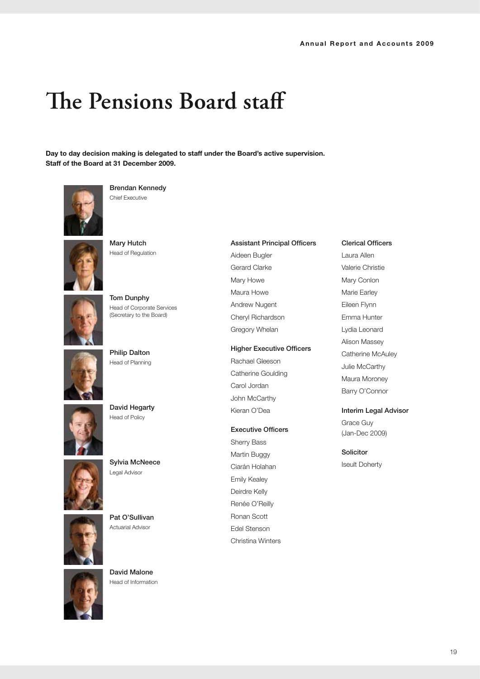# **The Pensions Board staff**

Day to day decision making is delegated to staff under the Board's active supervision. Staff of the Board at 31 December 2009.



Brendan Kennedy Chief Executive



Mary Hutch Head of Regulation



Tom Dunphy Head of Corporate Services (Secretary to the Board)



Philip Dalton Head of Planning



David Hegarty Head of Policy



Sylvia McNeece Legal Advisor





David Malone Head of Information

### Aideen Bugler Gerard Clarke Mary Howe Maura Howe Andrew Nugent Cheryl Richardson Gregory Whelan

**Assistant Principal Officers** 

Higher Executive Officers Rachael Gleeson Catherine Goulding Carol Jordan John McCarthy

**Executive Officers** 

Kieran O'Dea

Sherry Bass Martin Buggy Ciarán Holahan Emily Kealey Deirdre Kelly Renée O'Reilly Ronan Scott Edel Stenson Christina Winters **Clerical Officers** 

Laura Allen Valerie Christie Mary Conlon Marie Earley Eileen Flynn Emma Hunter Lydia Leonard Alison Massey Catherine McAuley Julie McCarthy Maura Moroney Barry O'Connor

#### Interim Legal Advisor

Grace Guy (Jan-Dec 2009)

Solicitor

Iseult Doherty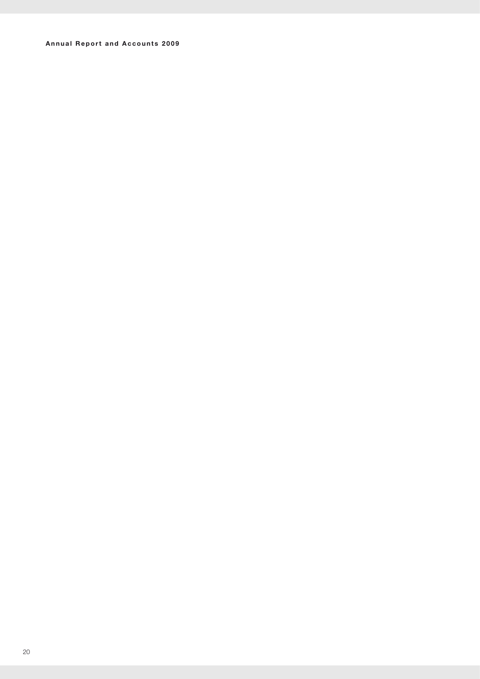#### **Annual Report and Accounts 2009**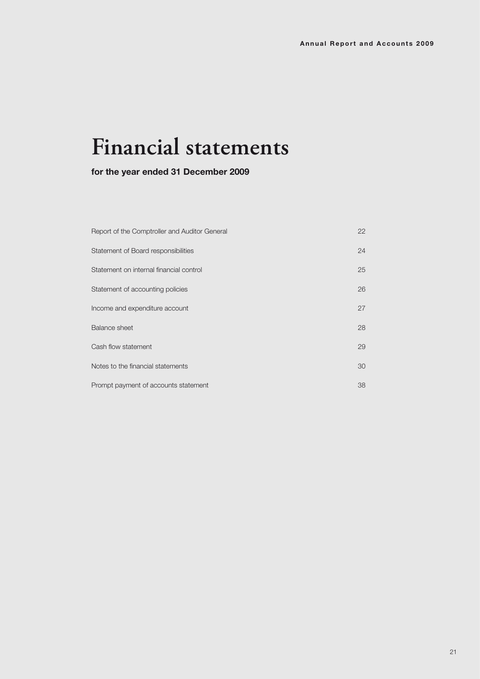# **Financial statements**

**for the year ended 31 December 2009**

| Report of the Comptroller and Auditor General | 22 |
|-----------------------------------------------|----|
| Statement of Board responsibilities           | 24 |
| Statement on internal financial control       | 25 |
| Statement of accounting policies              | 26 |
| Income and expenditure account                | 27 |
| Balance sheet                                 | 28 |
| Cash flow statement                           | 29 |
| Notes to the financial statements             | 30 |
| Prompt payment of accounts statement          | 38 |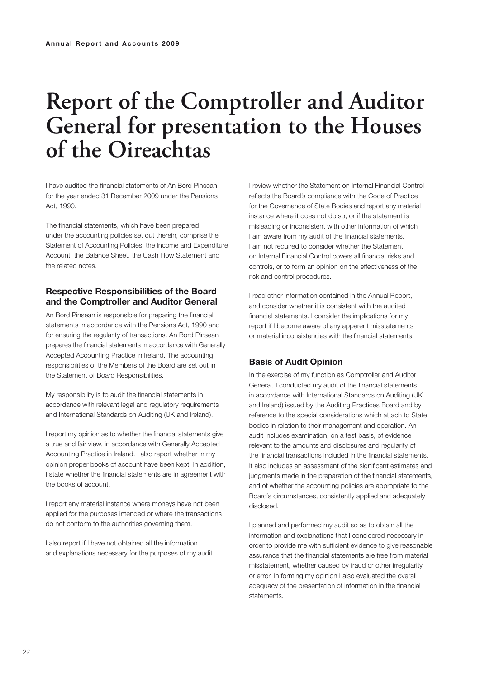# **Report of the Comptroller and Auditor General for presentation to the Houses of the Oireachtas**

I have audited the financial statements of An Bord Pinsean for the year ended 31 December 2009 under the Pensions Act, 1990.

The financial statements, which have been prepared under the accounting policies set out therein, comprise the Statement of Accounting Policies, the Income and Expenditure Account, the Balance Sheet, the Cash Flow Statement and the related notes.

#### **Respective Responsibilities of the Board and the Comptroller and Auditor General**

An Bord Pinsean is responsible for preparing the financial statements in accordance with the Pensions Act, 1990 and for ensuring the regularity of transactions. An Bord Pinsean prepares the financial statements in accordance with Generally Accepted Accounting Practice in Ireland. The accounting responsibilities of the Members of the Board are set out in the Statement of Board Responsibilities.

My responsibility is to audit the financial statements in accordance with relevant legal and regulatory requirements and International Standards on Auditing (UK and Ireland).

I report my opinion as to whether the financial statements give a true and fair view, in accordance with Generally Accepted Accounting Practice in Ireland. I also report whether in my opinion proper books of account have been kept. In addition, I state whether the financial statements are in agreement with the books of account.

I report any material instance where moneys have not been applied for the purposes intended or where the transactions do not conform to the authorities governing them.

I also report if I have not obtained all the information and explanations necessary for the purposes of my audit. I review whether the Statement on Internal Financial Control reflects the Board's compliance with the Code of Practice for the Governance of State Bodies and report any material instance where it does not do so, or if the statement is misleading or inconsistent with other information of which I am aware from my audit of the financial statements. I am not required to consider whether the Statement on Internal Financial Control covers all financial risks and controls, or to form an opinion on the effectiveness of the risk and control procedures.

I read other information contained in the Annual Report, and consider whether it is consistent with the audited financial statements. I consider the implications for my report if I become aware of any apparent misstatements or material inconsistencies with the financial statements.

#### **Basis of Audit Opinion**

In the exercise of my function as Comptroller and Auditor General, I conducted my audit of the financial statements in accordance with International Standards on Auditing (UK and Ireland) issued by the Auditing Practices Board and by reference to the special considerations which attach to State bodies in relation to their management and operation. An audit includes examination, on a test basis, of evidence relevant to the amounts and disclosures and regularity of the financial transactions included in the financial statements. It also includes an assessment of the significant estimates and judgments made in the preparation of the financial statements, and of whether the accounting policies are appropriate to the Board's circumstances, consistently applied and adequately disclosed.

I planned and performed my audit so as to obtain all the information and explanations that I considered necessary in order to provide me with sufficient evidence to give reasonable assurance that the financial statements are free from material misstatement, whether caused by fraud or other irregularity or error. In forming my opinion I also evaluated the overall adequacy of the presentation of information in the financial statements.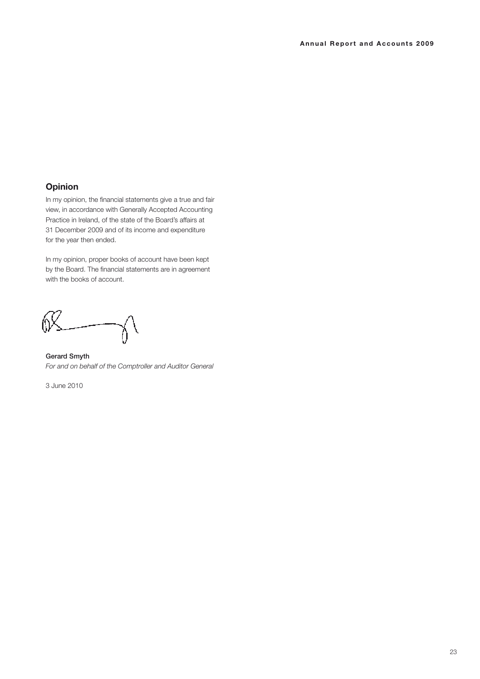### **Opinion**

In my opinion, the financial statements give a true and fair view, in accordance with Generally Accepted Accounting Practice in Ireland, of the state of the Board's affairs at 31 December 2009 and of its income and expenditure for the year then ended.

In my opinion, proper books of account have been kept by the Board. The financial statements are in agreement with the books of account.

Gerard Smyth *For and on behalf of the Comptroller and Auditor General*

3 June 2010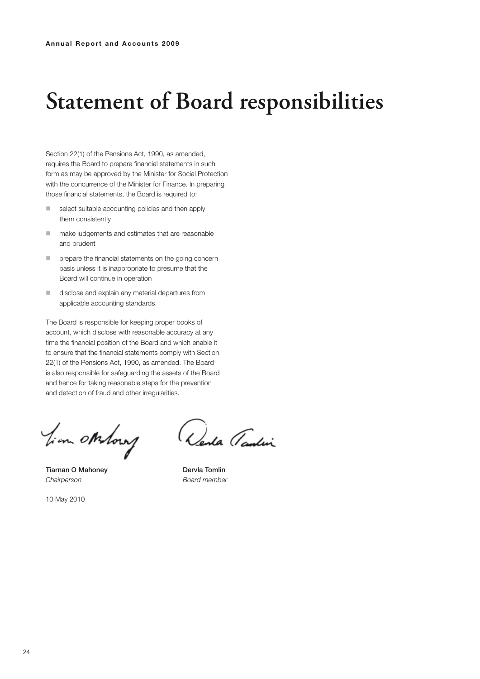# **Statement of Board responsibilities**

Section 22(1) of the Pensions Act, 1990, as amended, requires the Board to prepare financial statements in such form as may be approved by the Minister for Social Protection with the concurrence of the Minister for Finance. In preparing those financial statements, the Board is required to:

- $\blacksquare$  select suitable accounting policies and then apply them consistently
- $\blacksquare$  make judgements and estimates that are reasonable and prudent
- $n =$  prepare the financial statements on the going concern basis unless it is inappropriate to presume that the Board will continue in operation
- $\blacksquare$  disclose and explain any material departures from applicable accounting standards.

The Board is responsible for keeping proper books of account, which disclose with reasonable accuracy at any time the financial position of the Board and which enable it to ensure that the financial statements comply with Section 22(1) of the Pensions Act, 1990, as amended. The Board is also responsible for safeguarding the assets of the Board and hence for taking reasonable steps for the prevention and detection of fraud and other irregularities.

Tim otherap

Tiarnan O Mahoney **Dervla Tomlin** *Chairperson Board member*

10 May 2010

(Denta Tandin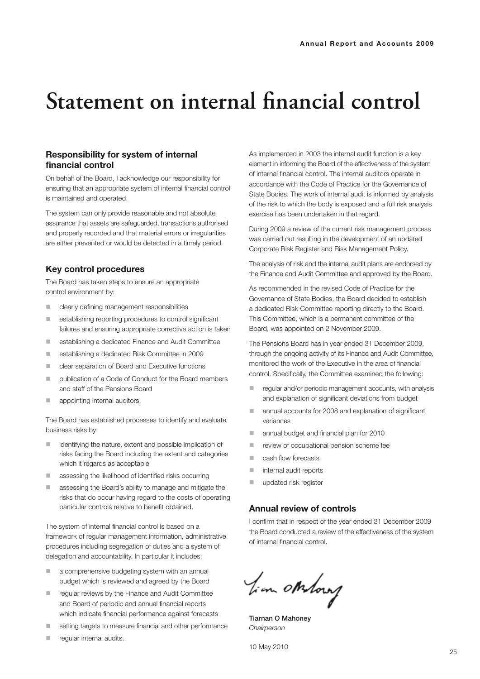# **Statement on internal financial control**

#### **Responsibility for system of internal fi nancial control**

On behalf of the Board, I acknowledge our responsibility for ensuring that an appropriate system of internal financial control is maintained and operated.

The system can only provide reasonable and not absolute assurance that assets are safeguarded, transactions authorised and properly recorded and that material errors or irregularities are either prevented or would be detected in a timely period.

#### **Key control procedures**

The Board has taken steps to ensure an appropriate control environment by:

- $\blacksquare$  clearly defining management responsibilities
- $\blacksquare$  establishing reporting procedures to control significant failures and ensuring appropriate corrective action is taken
- establishing a dedicated Finance and Audit Committee
- establishing a dedicated Risk Committee in 2009
- n clear separation of Board and Executive functions
- publication of a Code of Conduct for the Board members and staff of the Pensions Board
- **n** appointing internal auditors.

The Board has established processes to identify and evaluate business risks by:

- $\blacksquare$  identifying the nature, extent and possible implication of risks facing the Board including the extent and categories which it regards as acceptable
- $\blacksquare$  assessing the likelihood of identified risks occurring
- assessing the Board's ability to manage and mitigate the risks that do occur having regard to the costs of operating particular controls relative to benefit obtained.

The system of internal financial control is based on a framework of regular management information, administrative procedures including segregation of duties and a system of delegation and accountability. In particular it includes:

- $\blacksquare$  a comprehensive budgeting system with an annual budget which is reviewed and agreed by the Board
- n regular reviews by the Finance and Audit Committee and Board of periodic and annual financial reports which indicate financial performance against forecasts
- n setting targets to measure financial and other performance
- regular internal audits.

As implemented in 2003 the internal audit function is a key element in informing the Board of the effectiveness of the system of internal financial control. The internal auditors operate in accordance with the Code of Practice for the Governance of State Bodies. The work of internal audit is informed by analysis of the risk to which the body is exposed and a full risk analysis exercise has been undertaken in that regard.

During 2009 a review of the current risk management process was carried out resulting in the development of an updated Corporate Risk Register and Risk Management Policy.

The analysis of risk and the internal audit plans are endorsed by the Finance and Audit Committee and approved by the Board.

As recommended in the revised Code of Practice for the Governance of State Bodies, the Board decided to establish a dedicated Risk Committee reporting directly to the Board. This Committee, which is a permanent committee of the Board, was appointed on 2 November 2009.

The Pensions Board has in year ended 31 December 2009, through the ongoing activity of its Finance and Audit Committee, monitored the work of the Executive in the area of financial control. Specifically, the Committee examined the following:

- n regular and/or periodic management accounts, with analysis and explanation of significant deviations from budget
- n annual accounts for 2008 and explanation of significant variances
- n annual budget and financial plan for 2010
- n review of occupational pension scheme fee
- $\Box$  cash flow forecasts
- nternal audit reports
- updated risk register

#### **Annual review of controls**

I confirm that in respect of the year ended 31 December 2009 the Board conducted a review of the effectiveness of the system of internal financial control.

Tim otherap

Tiarnan O Mahoney *Chairperson*

10 May 2010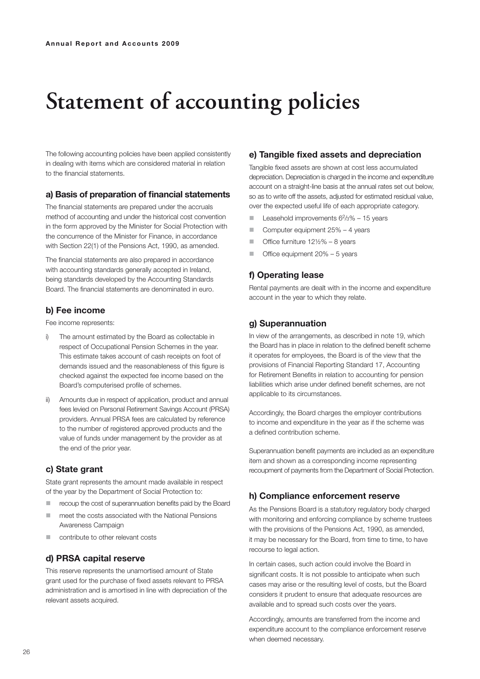# **Statement of accounting policies**

The following accounting policies have been applied consistently in dealing with items which are considered material in relation to the financial statements.

#### **a) Basis of preparation of financial statements**

The financial statements are prepared under the accruals method of accounting and under the historical cost convention in the form approved by the Minister for Social Protection with the concurrence of the Minister for Finance, in accordance with Section 22(1) of the Pensions Act, 1990, as amended.

The financial statements are also prepared in accordance with accounting standards generally accepted in Ireland, being standards developed by the Accounting Standards Board. The financial statements are denominated in euro.

#### **b) Fee income**

Fee income represents:

- i) The amount estimated by the Board as collectable in respect of Occupational Pension Schemes in the year. This estimate takes account of cash receipts on foot of demands issued and the reasonableness of this figure is checked against the expected fee income based on the Board's computerised profile of schemes.
- ii) Amounts due in respect of application, product and annual fees levied on Personal Retirement Savings Account (PRSA) providers. Annual PRSA fees are calculated by reference to the number of registered approved products and the value of funds under management by the provider as at the end of the prior year.

#### **c) State grant**

State grant represents the amount made available in respect of the year by the Department of Social Protection to:

- $\blacksquare$  recoup the cost of superannuation benefits paid by the Board
- $\blacksquare$  meet the costs associated with the National Pensions Awareness Campaign
- $\Box$  contribute to other relevant costs

#### **d) PRSA capital reserve**

This reserve represents the unamortised amount of State grant used for the purchase of fixed assets relevant to PRSA administration and is amortised in line with depreciation of the relevant assets acquired.

#### **e) Tangible fixed assets and depreciation**

Tangible fixed assets are shown at cost less accumulated depreciation. Depreciation is charged in the income and expenditure account on a straight-line basis at the annual rates set out below, so as to write off the assets, adjusted for estimated residual value, over the expected useful life of each appropriate category.

- Leasehold improvements  $6\frac{2}{3}\%$  15 years
- $\Box$  Computer equipment 25% 4 years
- $\Box$  Office furniture 12½% 8 years
- Office equipment 20% 5 years

#### **f) Operating lease**

Rental payments are dealt with in the income and expenditure account in the year to which they relate.

#### **g) Superannuation**

In view of the arrangements, as described in note 19, which the Board has in place in relation to the defined benefit scheme it operates for employees, the Board is of the view that the provisions of Financial Reporting Standard 17, Accounting for Retirement Benefits in relation to accounting for pension liabilities which arise under defined benefit schemes, are not applicable to its circumstances.

Accordingly, the Board charges the employer contributions to income and expenditure in the year as if the scheme was a defined contribution scheme.

Superannuation benefit payments are included as an expenditure item and shown as a corresponding income representing recoupment of payments from the Department of Social Protection.

#### **h) Compliance enforcement reserve**

As the Pensions Board is a statutory regulatory body charged with monitoring and enforcing compliance by scheme trustees with the provisions of the Pensions Act, 1990, as amended, it may be necessary for the Board, from time to time, to have recourse to legal action.

In certain cases, such action could involve the Board in significant costs. It is not possible to anticipate when such cases may arise or the resulting level of costs, but the Board considers it prudent to ensure that adequate resources are available and to spread such costs over the years.

Accordingly, amounts are transferred from the income and expenditure account to the compliance enforcement reserve when deemed necessary.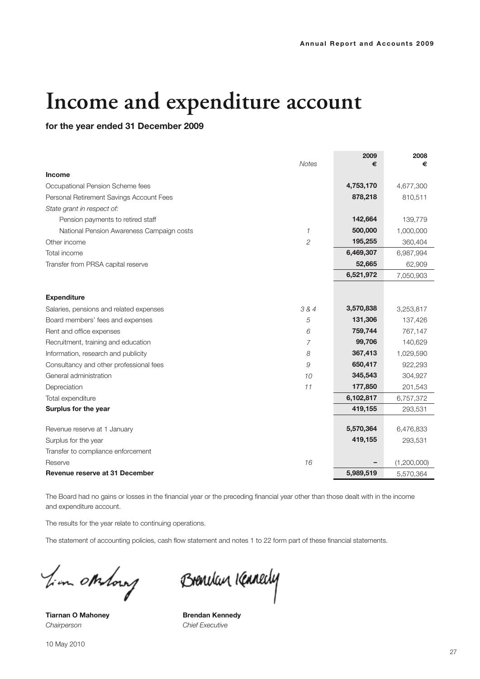# **Income and expenditure account**

**for the year ended 31 December 2009**

|                                           | <b>Notes</b> | 2009<br>€ | 2008<br>€   |
|-------------------------------------------|--------------|-----------|-------------|
| <b>Income</b>                             |              |           |             |
| Occupational Pension Scheme fees          |              | 4,753,170 | 4,677,300   |
| Personal Retirement Savings Account Fees  |              | 878,218   | 810,511     |
| State grant in respect of:                |              |           |             |
| Pension payments to retired staff         |              | 142,664   | 139,779     |
| National Pension Awareness Campaign costs | $\mathcal I$ | 500,000   | 1,000,000   |
| Other income                              | 2            | 195,255   | 360,404     |
| Total income                              |              | 6,469,307 | 6,987,994   |
| Transfer from PRSA capital reserve        |              | 52,665    | 62,909      |
|                                           |              | 6,521,972 | 7,050,903   |
|                                           |              |           |             |
| <b>Expenditure</b>                        |              |           |             |
| Salaries, pensions and related expenses   | 3 & 4        | 3,570,838 | 3,253,817   |
| Board members' fees and expenses          | 5            | 131,306   | 137,426     |
| Rent and office expenses                  | 6            | 759,744   | 767,147     |
| Recruitment, training and education       | 7            | 99,706    | 140,629     |
| Information, research and publicity       | 8            | 367,413   | 1,029,590   |
| Consultancy and other professional fees   | 9            | 650,417   | 922,293     |
| General administration                    | 10           | 345,543   | 304,927     |
| Depreciation                              | 11           | 177,850   | 201,543     |
| Total expenditure                         |              | 6,102,817 | 6,757,372   |
| Surplus for the year                      |              | 419,155   | 293,531     |
|                                           |              |           |             |
| Revenue reserve at 1 January              |              | 5,570,364 | 6,476,833   |
| Surplus for the year                      |              | 419,155   | 293,531     |
| Transfer to compliance enforcement        |              |           |             |
| Reserve                                   | 16           |           | (1,200,000) |
| Revenue reserve at 31 December            |              | 5,989,519 | 5,570,364   |

The Board had no gains or losses in the financial year or the preceding financial year other than those dealt with in the income and expenditure account.

The results for the year relate to continuing operations.

The statement of accounting policies, cash flow statement and notes 1 to 22 form part of these financial statements.

Tim otherap

Tiarnan O Mahoney **Brendan Kennedy** *Chairperson Chief Executive*

Brencken Kennedy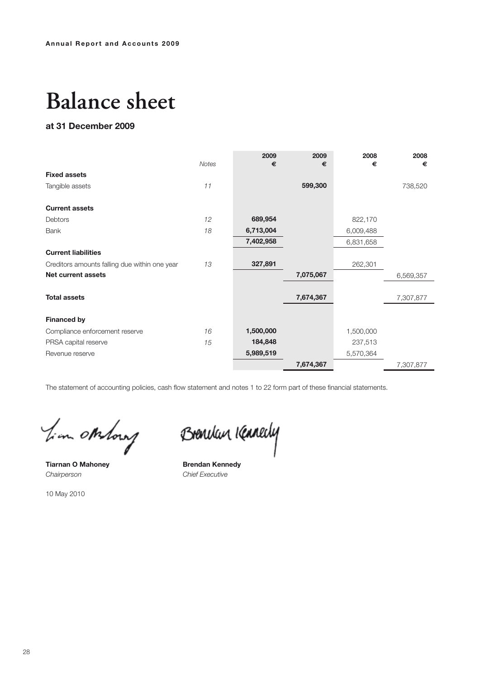# **Balance sheet**

### **at 31 December 2009**

|                                               | Notes | 2009<br>€ | 2009<br>€ | 2008<br>€ | 2008<br>€ |
|-----------------------------------------------|-------|-----------|-----------|-----------|-----------|
| <b>Fixed assets</b>                           |       |           |           |           |           |
| Tangible assets                               | 11    |           | 599,300   |           | 738,520   |
|                                               |       |           |           |           |           |
| <b>Current assets</b>                         |       |           |           |           |           |
| Debtors                                       | 12    | 689,954   |           | 822,170   |           |
| <b>Bank</b>                                   | 18    | 6,713,004 |           | 6,009,488 |           |
|                                               |       | 7,402,958 |           | 6,831,658 |           |
| <b>Current liabilities</b>                    |       |           |           |           |           |
| Creditors amounts falling due within one year | 13    | 327,891   |           | 262,301   |           |
| Net current assets                            |       |           | 7,075,067 |           | 6,569,357 |
|                                               |       |           |           |           |           |
| <b>Total assets</b>                           |       |           | 7,674,367 |           | 7,307,877 |
|                                               |       |           |           |           |           |
| <b>Financed by</b>                            |       |           |           |           |           |
| Compliance enforcement reserve                | 16    | 1,500,000 |           | 1,500,000 |           |
| PRSA capital reserve                          | 15    | 184,848   |           | 237,513   |           |
| Revenue reserve                               |       | 5,989,519 |           | 5,570,364 |           |
|                                               |       |           | 7,674,367 |           | 7,307,877 |

The statement of accounting policies, cash flow statement and notes 1 to 22 form part of these financial statements.

Tim otheray

Tiarnan O Mahoney **Brendan Kennedy** *Chairperson Chief Executive*

10 May 2010

Brendan Kennedy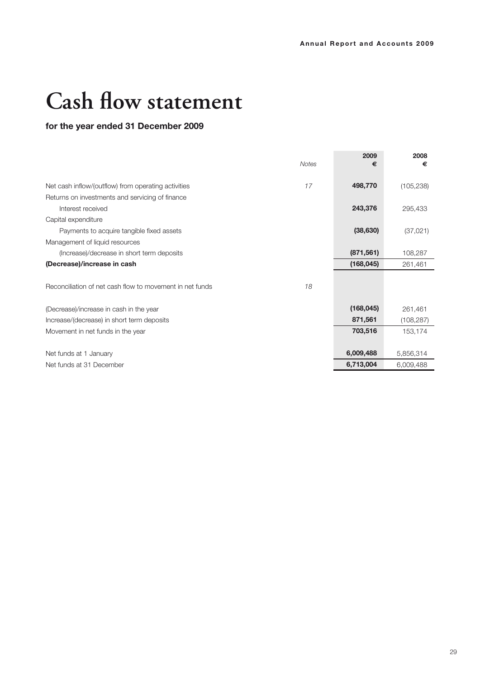# **Cash flow statement**

### **for the year ended 31 December 2009**

|                                                          | <b>Notes</b> | 2009<br>€  | 2008<br>€  |
|----------------------------------------------------------|--------------|------------|------------|
| Net cash inflow/(outflow) from operating activities      | 17           | 498,770    | (105, 238) |
| Returns on investments and servicing of finance          |              |            |            |
| Interest received                                        |              | 243,376    | 295,433    |
| Capital expenditure                                      |              |            |            |
| Payments to acquire tangible fixed assets                |              | (38, 630)  | (37,021)   |
| Management of liquid resources                           |              |            |            |
| (Increase)/decrease in short term deposits               |              | (871, 561) | 108,287    |
| (Decrease)/increase in cash                              |              | (168, 045) | 261,461    |
|                                                          |              |            |            |
| Reconciliation of net cash flow to movement in net funds | 18           |            |            |
|                                                          |              |            |            |
| (Decrease)/increase in cash in the year                  |              | (168, 045) | 261,461    |
| Increase/(decrease) in short term deposits               |              | 871,561    | (108, 287) |
| Movement in net funds in the year                        |              | 703,516    | 153,174    |
|                                                          |              |            |            |
| Net funds at 1 January                                   |              | 6,009,488  | 5,856,314  |
| Net funds at 31 December                                 |              | 6,713,004  | 6,009,488  |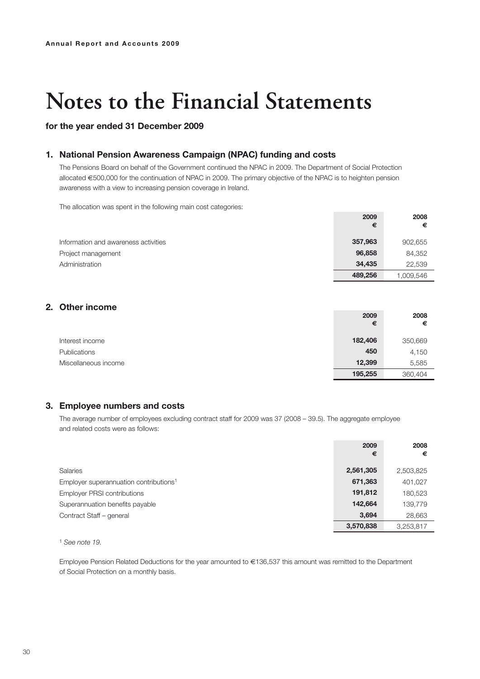# **Notes to the Financial Statements**

### **for the year ended 31 December 2009**

### **1. National Pension Awareness Campaign (NPAC) funding and costs**

The Pensions Board on behalf of the Government continued the NPAC in 2009. The Department of Social Protection allocated €500,000 for the continuation of NPAC in 2009. The primary objective of the NPAC is to heighten pension awareness with a view to increasing pension coverage in Ireland.

The allocation was spent in the following main cost categories:

|                                      | 2009<br>€ | 2008<br>€ |
|--------------------------------------|-----------|-----------|
| Information and awareness activities | 357,963   | 902,655   |
| Project management                   | 96,858    | 84,352    |
| Administration                       | 34.435    | 22,539    |
|                                      | 489,256   | 1,009,546 |

### **2. Other income**

|                      | 2009<br>€ | 2008<br>€ |
|----------------------|-----------|-----------|
| Interest income      | 182,406   | 350,669   |
| Publications         | 450       | 4,150     |
| Miscellaneous income | 12,399    | 5,585     |
|                      | 195,255   | 360,404   |

#### **3. Employee numbers and costs**

The average number of employees excluding contract staff for 2009 was 37 (2008 – 39.5). The aggregate employee and related costs were as follows:

|                                                    | 2009<br>€ | 2008<br>€ |
|----------------------------------------------------|-----------|-----------|
| <b>Salaries</b>                                    | 2,561,305 | 2,503,825 |
| Employer superannuation contributions <sup>1</sup> | 671,363   | 401,027   |
| <b>Employer PRSI contributions</b>                 | 191,812   | 180,523   |
| Superannuation benefits payable                    | 142,664   | 139,779   |
| Contract Staff - general                           | 3,694     | 28,663    |
|                                                    | 3,570,838 | 3,253,817 |

<sup>1</sup> *See note 19.*

Employee Pension Related Deductions for the year amounted to €136,537 this amount was remitted to the Department of Social Protection on a monthly basis.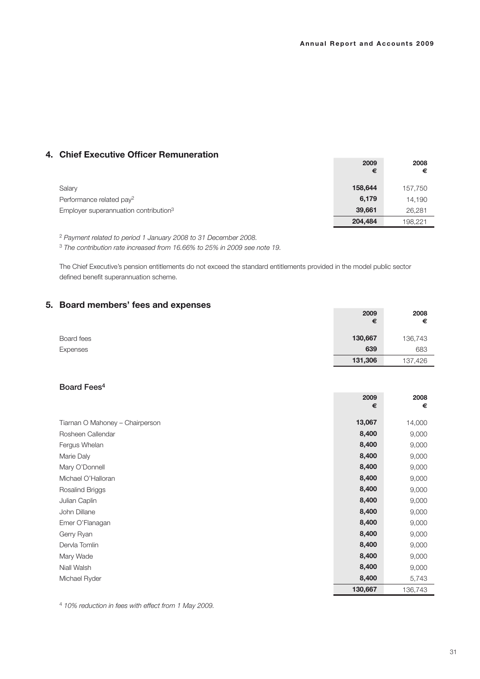### **4. Chief Executive Officer Remuneration**

|                                                   | 2009<br>€ | 2008<br>€ |
|---------------------------------------------------|-----------|-----------|
| Salary                                            | 158,644   | 157,750   |
| Performance related pay <sup>2</sup>              | 6,179     | 14,190    |
| Employer superannuation contribution <sup>3</sup> | 39,661    | 26,281    |
|                                                   | 204,484   | 198.221   |

<sup>2</sup> *Payment related to period 1 January 2008 to 31 December 2008.*

<sup>3</sup> *The contribution rate increased from 16.66% to 25% in 2009 see note 19.*

The Chief Executive's pension entitlements do not exceed the standard entitlements provided in the model public sector defined benefit superannuation scheme.

### **5. Board members' fees and expenses**

|            | 2009<br>€ | 2008<br>€ |
|------------|-----------|-----------|
| Board fees | 130,667   | 136,743   |
| Expenses   | 639       | 683       |
|            | 131,306   | 137,426   |

### Board Fees4

|                                 | 2009<br>€ | 2008<br>€ |
|---------------------------------|-----------|-----------|
| Tiarnan O Mahoney - Chairperson | 13,067    | 14,000    |
| Rosheen Callendar               | 8,400     | 9,000     |
| Fergus Whelan                   | 8,400     | 9,000     |
| Marie Daly                      | 8,400     | 9,000     |
| Mary O'Donnell                  | 8,400     | 9,000     |
| Michael O'Halloran              | 8,400     | 9,000     |
| Rosalind Briggs                 | 8,400     | 9,000     |
| Julian Caplin                   | 8,400     | 9,000     |
| John Dillane                    | 8,400     | 9,000     |
| Emer O'Flanagan                 | 8,400     | 9,000     |
| Gerry Ryan                      | 8,400     | 9,000     |
| Dervla Tomlin                   | 8,400     | 9,000     |
| Mary Wade                       | 8,400     | 9,000     |
| Niall Walsh                     | 8,400     | 9,000     |
| Michael Ryder                   | 8,400     | 5,743     |
|                                 | 130,667   | 136,743   |

4 *10% reduction in fees with effect from 1 May 2009.*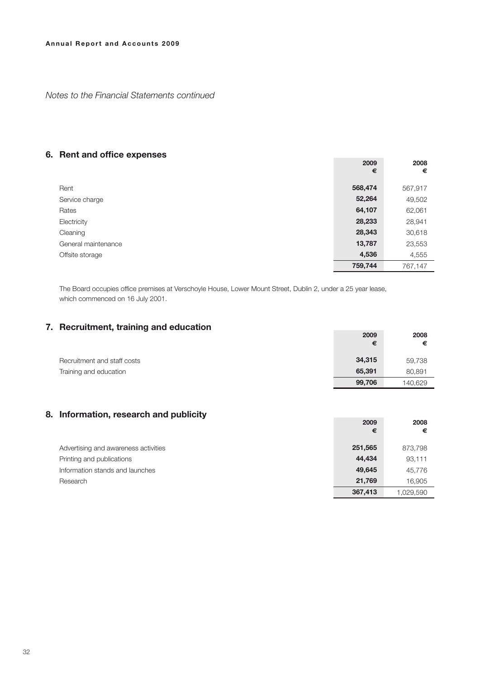*Notes to the Financial Statements continued*

#### **6. Rent and office expenses**

| <b>TIONS QUIDE ON DAPONDOU</b> | 2009<br>€ | 2008<br>€ |
|--------------------------------|-----------|-----------|
| Rent                           | 568,474   | 567,917   |
| Service charge                 | 52,264    | 49,502    |
| Rates                          | 64,107    | 62,061    |
| Electricity                    | 28,233    | 28,941    |
| Cleaning                       | 28,343    | 30,618    |
| General maintenance            | 13,787    | 23,553    |
| Offsite storage                | 4,536     | 4,555     |
|                                | 759,744   | 767,147   |

The Board occupies office premises at Verschoyle House, Lower Mount Street, Dublin 2, under a 25 year lease, which commenced on 16 July 2001.

### **7. Recruitment, training and education**

| <b>The community of all analysis and computer</b> | 2009<br>€ | 2008<br>€ |
|---------------------------------------------------|-----------|-----------|
| Recruitment and staff costs                       | 34,315    | 59,738    |
| Training and education                            | 65.391    | 80,891    |
|                                                   | 99,706    | 140.629   |

### **8. Information, research and publicity**

| <u>IIIIUIIIIIauuii, research and publicity</u> |           |           |
|------------------------------------------------|-----------|-----------|
|                                                | 2009<br>€ | 2008<br>€ |
| Advertising and awareness activities           | 251,565   | 873,798   |
| Printing and publications                      | 44.434    | 93,111    |
| Information stands and launches                | 49,645    | 45.776    |
| Research                                       | 21,769    | 16.905    |
|                                                | 367,413   | 1.029.590 |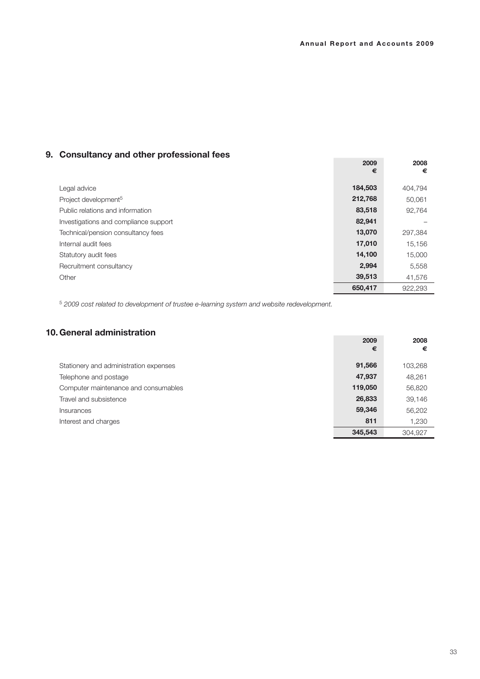### **9. Consultancy and other professional fees**

| Sonowitanty and other profectional reco | 2009<br>€ | 2008<br>€ |
|-----------------------------------------|-----------|-----------|
| Legal advice                            | 184,503   | 404.794   |
| Project development <sup>5</sup>        | 212,768   | 50,061    |
| Public relations and information        | 83,518    | 92,764    |
| Investigations and compliance support   | 82,941    |           |
| Technical/pension consultancy fees      | 13,070    | 297.384   |
| Internal audit fees                     | 17,010    | 15,156    |
| Statutory audit fees                    | 14,100    | 15,000    |
| Recruitment consultancy                 | 2,994     | 5,558     |
| Other                                   | 39,513    | 41,576    |
|                                         | 650,417   | 922.293   |

<sup>5</sup> *2009 cost related to development of trustee e-learning system and website redevelopment.*

### **10. General administration**

| . UCIICI di dullillisti duvil          | 2009<br>€ | 2008<br>€ |
|----------------------------------------|-----------|-----------|
| Stationery and administration expenses | 91,566    | 103,268   |
| Telephone and postage                  | 47,937    | 48,261    |
| Computer maintenance and consumables   | 119,050   | 56,820    |
| Travel and subsistence                 | 26,833    | 39,146    |
| Insurances                             | 59,346    | 56,202    |
| Interest and charges                   | 811       | 1,230     |
|                                        | 345,543   | 304.927   |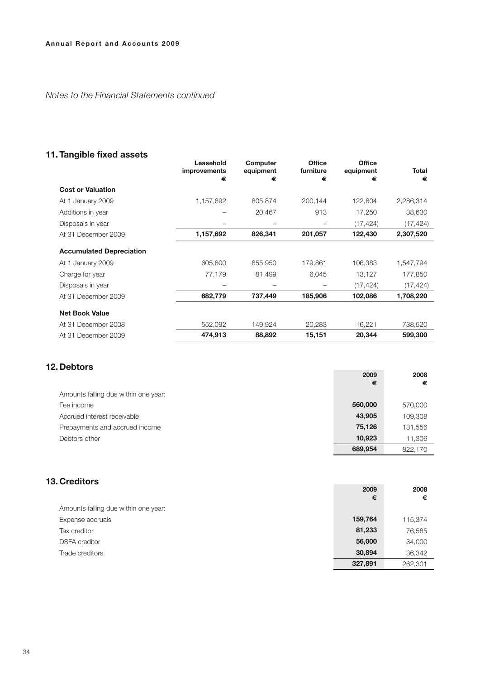*Notes to the Financial Statements continued*

### **11. Tangible fixed assets**

|                                 | Leasehold<br><b>improvements</b><br>€ | Computer<br>equipment<br>€ | Office<br>furniture<br>€ | Office<br>equipment<br>€ | <b>Total</b><br>€ |
|---------------------------------|---------------------------------------|----------------------------|--------------------------|--------------------------|-------------------|
| <b>Cost or Valuation</b>        |                                       |                            |                          |                          |                   |
| At 1 January 2009               | 1,157,692                             | 805,874                    | 200,144                  | 122,604                  | 2,286,314         |
| Additions in year               |                                       | 20,467                     | 913                      | 17,250                   | 38,630            |
| Disposals in year               |                                       |                            |                          | (17, 424)                | (17, 424)         |
| At 31 December 2009             | 1,157,692                             | 826,341                    | 201,057                  | 122,430                  | 2,307,520         |
| <b>Accumulated Depreciation</b> |                                       |                            |                          |                          |                   |
| At 1 January 2009               | 605,600                               | 655,950                    | 179,861                  | 106,383                  | 1,547,794         |
| Charge for year                 | 77,179                                | 81,499                     | 6,045                    | 13,127                   | 177,850           |
| Disposals in year               |                                       |                            |                          | (17, 424)                | (17, 424)         |
| At 31 December 2009             | 682,779                               | 737,449                    | 185,906                  | 102,086                  | 1,708,220         |
| <b>Net Book Value</b>           |                                       |                            |                          |                          |                   |
| At 31 December 2008             | 552,092                               | 149,924                    | 20,283                   | 16,221                   | 738,520           |
| At 31 December 2009             | 474,913                               | 88,892                     | 15,151                   | 20,344                   | 599,300           |

### **12. Debtors**

| .<br>Amounts falling due within one year: | 2009<br>€ | 2008<br>€ |
|-------------------------------------------|-----------|-----------|
| Fee income                                | 560,000   | 570,000   |
| Accrued interest receivable               | 43,905    | 109,308   |
| Prepayments and accrued income            | 75,126    | 131,556   |
| Debtors other                             | 10,923    | 11,306    |
|                                           | 689,954   | 822.170   |

### **13. Creditors**

|                                      | €       | €       |
|--------------------------------------|---------|---------|
| Amounts falling due within one year: |         |         |
| Expense accruals                     | 159,764 | 115,374 |
| Tax creditor                         | 81,233  | 76,585  |
| <b>DSFA</b> creditor                 | 56,000  | 34,000  |
| Trade creditors                      | 30,894  | 36,342  |
|                                      | 327,891 | 262,301 |

2009

2008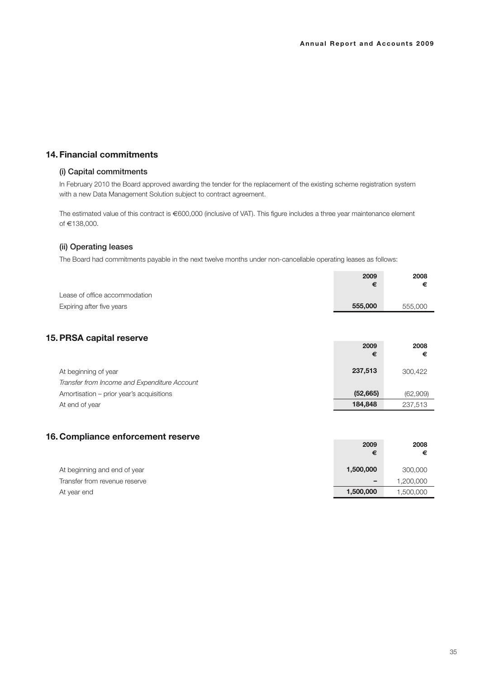### **14. Financial commitments**

#### (i) Capital commitments

In February 2010 the Board approved awarding the tender for the replacement of the existing scheme registration system with a new Data Management Solution subject to contract agreement.

The estimated value of this contract is €600,000 (inclusive of VAT). This figure includes a three year maintenance element of €138,000.

#### (ii) Operating leases

The Board had commitments payable in the next twelve months under non-cancellable operating leases as follows:

|                               | 2009    | 2008    |
|-------------------------------|---------|---------|
|                               | €       |         |
| Lease of office accommodation |         |         |
| Expiring after five years     | 555,000 | 555,000 |

#### **15.PRSA capital reserve**

| $\cdots$ $\cdots$ $\cdots$ $\cdots$                                  | 2009<br>€ | 2008<br>€ |
|----------------------------------------------------------------------|-----------|-----------|
| At beginning of year<br>Transfer from Income and Expenditure Account | 237.513   | 300.422   |
| Amortisation – prior year's acquisitions                             | (52,665)  | (62,909)  |
| At end of year                                                       | 184.848   | 237.513   |

#### **16. Compliance enforcement reserve**

| . OUITING THE CHILD CONTENT TOUCH TO | 2009<br>€ | 2008<br>€ |
|--------------------------------------|-----------|-----------|
| At beginning and end of year         | 1,500,000 | 300,000   |
| Transfer from revenue reserve        | -         | 000,000.  |
| At year end                          | 1,500,000 | .500,000  |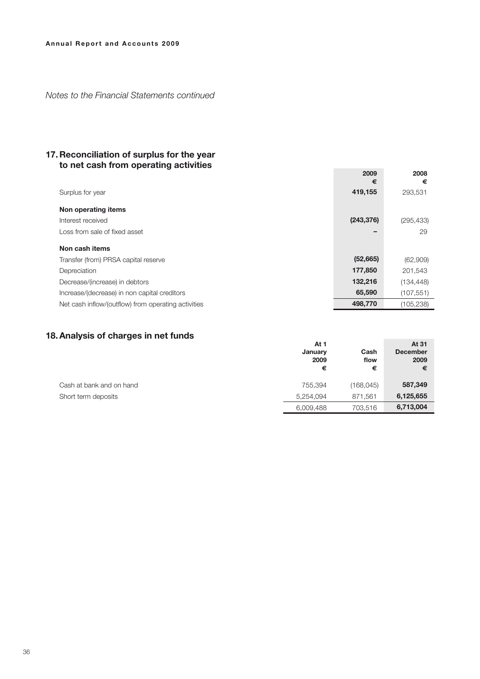*Notes to the Financial Statements continued*

### **17. Reconciliation of surplus for the year to net cash from operating activities**

| to net cash from operating activities               | 2009         | 2008       |
|-----------------------------------------------------|--------------|------------|
|                                                     | €<br>419,155 | €          |
| Surplus for year                                    |              | 293,531    |
| Non operating items                                 |              |            |
| Interest received                                   | (243, 376)   | (295, 433) |
| Loss from sale of fixed asset                       |              | 29         |
|                                                     |              |            |
| Non cash items                                      |              |            |
| Transfer (from) PRSA capital reserve                | (52,665)     | (62,909)   |
| Depreciation                                        | 177,850      | 201,543    |
| Decrease/(increase) in debtors                      | 132,216      | (134, 448) |
| Increase/(decrease) in non capital creditors        | 65,590       | (107, 551) |
| Net cash inflow/(outflow) from operating activities | 498,770      | (105, 238) |

### **18.Analysis of charges in net funds**

| s. Analysis of charges in het funds | At 1<br>January<br>2009<br>€ | Cash<br>flow<br>€ | At 31<br><b>December</b><br>2009<br>€ |
|-------------------------------------|------------------------------|-------------------|---------------------------------------|
| Cash at bank and on hand            | 755.394                      | (168, 045)        | 587,349                               |
| Short term deposits                 | 5.254.094                    | 871.561           | 6,125,655                             |
|                                     | 6,009,488                    | 703.516           | 6,713,004                             |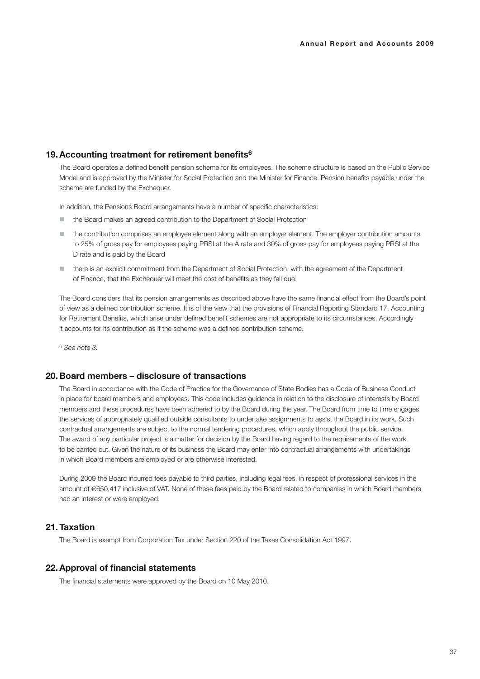#### **19.Accounting treatment for retirement benefits6**

The Board operates a defined benefit pension scheme for its employees. The scheme structure is based on the Public Service Model and is approved by the Minister for Social Protection and the Minister for Finance. Pension benefits payable under the scheme are funded by the Exchequer.

In addition, the Pensions Board arrangements have a number of specific characteristics:

- $\blacksquare$  the Board makes an agreed contribution to the Department of Social Protection
- $\blacksquare$  the contribution comprises an employee element along with an employer element. The employer contribution amounts to 25% of gross pay for employees paying PRSI at the A rate and 30% of gross pay for employees paying PRSI at the D rate and is paid by the Board
- n there is an explicit commitment from the Department of Social Protection, with the agreement of the Department of Finance, that the Exchequer will meet the cost of benefits as they fall due.

The Board considers that its pension arrangements as described above have the same financial effect from the Board's point of view as a defined contribution scheme. It is of the view that the provisions of Financial Reporting Standard 17, Accounting for Retirement Benefits, which arise under defined benefit schemes are not appropriate to its circumstances. Accordingly it accounts for its contribution as if the scheme was a defined contribution scheme.

<sup>6</sup> *See note 3.*

#### **20. Board members – disclosure of transactions**

The Board in accordance with the Code of Practice for the Governance of State Bodies has a Code of Business Conduct in place for board members and employees. This code includes guidance in relation to the disclosure of interests by Board members and these procedures have been adhered to by the Board during the year. The Board from time to time engages the services of appropriately qualified outside consultants to undertake assignments to assist the Board in its work. Such contractual arrangements are subject to the normal tendering procedures, which apply throughout the public service. The award of any particular project is a matter for decision by the Board having regard to the requirements of the work to be carried out. Given the nature of its business the Board may enter into contractual arrangements with undertakings in which Board members are employed or are otherwise interested.

During 2009 the Board incurred fees payable to third parties, including legal fees, in respect of professional services in the amount of €650,417 inclusive of VAT. None of these fees paid by the Board related to companies in which Board members had an interest or were employed.

#### **21. Taxation**

The Board is exempt from Corporation Tax under Section 220 of the Taxes Consolidation Act 1997.

#### **22.Approval of financial statements**

The financial statements were approved by the Board on 10 May 2010.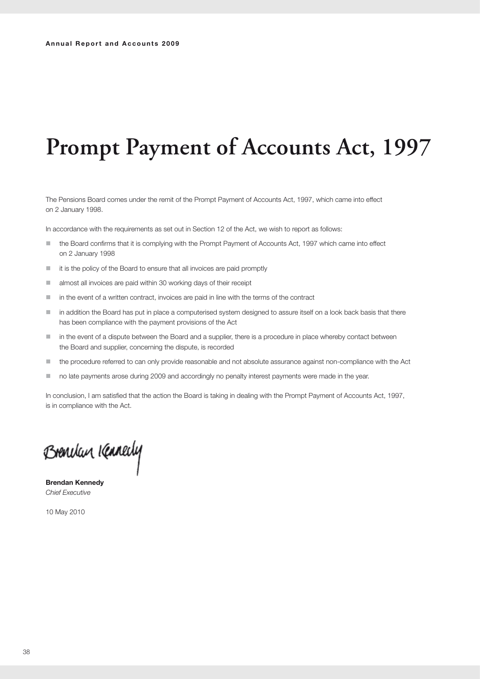# **Prompt Payment of Accounts Act, 1997**

The Pensions Board comes under the remit of the Prompt Payment of Accounts Act, 997, which came into effect on 2 January 1998.

In accordance with the requirements as set out in Section 12 of the Act, we wish to report as follows:

- n the Board confirms that it is complying with the Prompt Payment of Accounts Act, 1997 which came into effect on 2 January 1998
- it is the policy of the Board to ensure that all invoices are paid promptly
- $\Box$  almost all invoices are paid within 30 working days of their receipt
- in the event of a written contract, invoices are paid in line with the terms of the contract
- n in addition the Board has put in place a computerised system designed to assure itself on a look back basis that there has been compliance with the payment provisions of the Act
- n in the event of a dispute between the Board and a supplier, there is a procedure in place whereby contact between the Board and supplier, concerning the dispute, is recorded
- the procedure referred to can only provide reasonable and not absolute assurance against non-compliance with the Act
- no late payments arose during 2009 and accordingly no penalty interest payments were made in the year.

In conclusion, I am satisfied that the action the Board is taking in dealing with the Prompt Payment of Accounts Act, 1997, is in compliance with the Act.

Brencken Kennedy

Brendan Kennedy *Chief Executive*

10 May 2010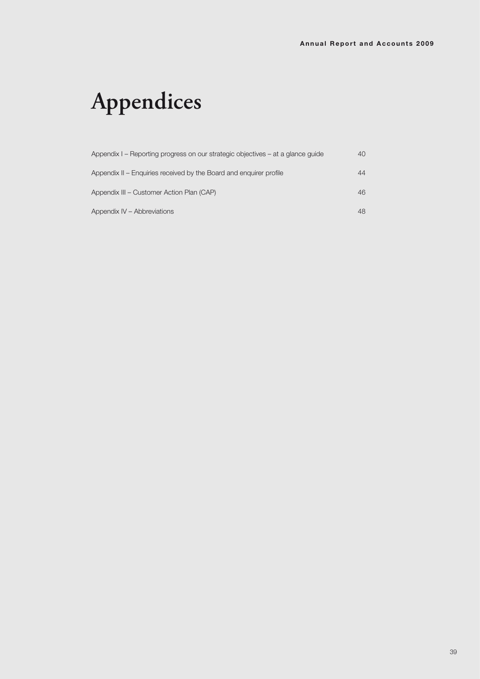# **Appendices**

| Appendix I – Reporting progress on our strategic objectives – at a glance guide | 40 |
|---------------------------------------------------------------------------------|----|
| Appendix II – Enquiries received by the Board and enquirer profile              | 44 |
| Appendix III – Customer Action Plan (CAP)                                       | 46 |
| Appendix IV - Abbreviations                                                     | 48 |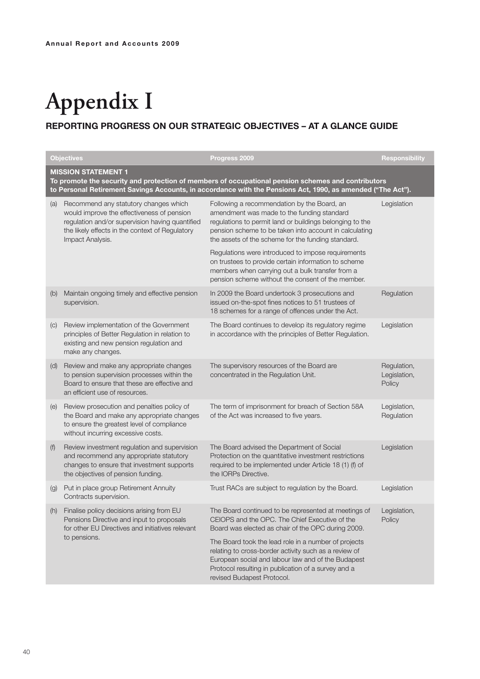# **Appendix I**

### **Reporting progress on our strategic objectives – at a glance guide**

|     | <b>Objectives</b>                                                                                                                                                                                                                               | Progress 2009                                                                                                                                                                                                                                                         | <b>Responsibility</b>                 |  |
|-----|-------------------------------------------------------------------------------------------------------------------------------------------------------------------------------------------------------------------------------------------------|-----------------------------------------------------------------------------------------------------------------------------------------------------------------------------------------------------------------------------------------------------------------------|---------------------------------------|--|
|     | <b>MISSION STATEMENT 1</b><br>To promote the security and protection of members of occupational pension schemes and contributors<br>to Personal Retirement Savings Accounts, in accordance with the Pensions Act, 1990, as amended ("The Act"). |                                                                                                                                                                                                                                                                       |                                       |  |
| (a) | Recommend any statutory changes which<br>would improve the effectiveness of pension<br>regulation and/or supervision having quantified<br>the likely effects in the context of Regulatory<br>Impact Analysis.                                   | Following a recommendation by the Board, an<br>amendment was made to the funding standard<br>regulations to permit land or buildings belonging to the<br>pension scheme to be taken into account in calculating<br>the assets of the scheme for the funding standard. | Legislation                           |  |
|     |                                                                                                                                                                                                                                                 | Regulations were introduced to impose requirements<br>on trustees to provide certain information to scheme<br>members when carrying out a bulk transfer from a<br>pension scheme without the consent of the member.                                                   |                                       |  |
| (b) | Maintain ongoing timely and effective pension<br>supervision.                                                                                                                                                                                   | In 2009 the Board undertook 3 prosecutions and<br>issued on-the-spot fines notices to 51 trustees of<br>18 schemes for a range of offences under the Act.                                                                                                             | Regulation                            |  |
| (C) | Review implementation of the Government<br>principles of Better Regulation in relation to<br>existing and new pension regulation and<br>make any changes.                                                                                       | The Board continues to develop its regulatory regime<br>in accordance with the principles of Better Regulation.                                                                                                                                                       | Legislation                           |  |
| (d) | Review and make any appropriate changes<br>to pension supervision processes within the<br>Board to ensure that these are effective and<br>an efficient use of resources.                                                                        | The supervisory resources of the Board are<br>concentrated in the Regulation Unit.                                                                                                                                                                                    | Regulation,<br>Legislation,<br>Policy |  |
| (e) | Review prosecution and penalties policy of<br>the Board and make any appropriate changes<br>to ensure the greatest level of compliance<br>without incurring excessive costs.                                                                    | The term of imprisonment for breach of Section 58A<br>of the Act was increased to five years.                                                                                                                                                                         | Legislation,<br>Regulation            |  |
| (f) | Review investment regulation and supervision<br>and recommend any appropriate statutory<br>changes to ensure that investment supports<br>the objectives of pension funding.                                                                     | The Board advised the Department of Social<br>Protection on the quantitative investment restrictions<br>required to be implemented under Article 18 (1) (f) of<br>the IORPs Directive.                                                                                | Legislation                           |  |
| (g) | Put in place group Retirement Annuity<br>Contracts supervision.                                                                                                                                                                                 | Trust RACs are subject to regulation by the Board.                                                                                                                                                                                                                    | Legislation                           |  |
|     | (h) Finalise policy decisions arising from EU<br>Pensions Directive and input to proposals<br>for other EU Directives and initiatives relevant<br>to pensions.                                                                                  | The Board continued to be represented at meetings of<br>CEIOPS and the OPC. The Chief Executive of the<br>Board was elected as chair of the OPC during 2009.                                                                                                          | Legislation,<br>Policy                |  |
|     |                                                                                                                                                                                                                                                 | The Board took the lead role in a number of projects<br>relating to cross-border activity such as a review of<br>European social and labour law and of the Budapest<br>Protocol resulting in publication of a survey and a<br>revised Budapest Protocol.              |                                       |  |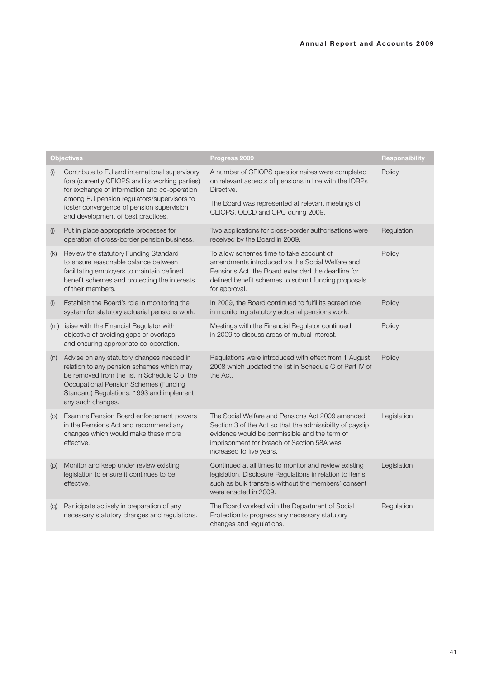|           | <b>Objectives</b>                                                                                                                                                                                                                                  | Progress 2009                                                                                                                                                                                                                            | <b>Responsibility</b> |
|-----------|----------------------------------------------------------------------------------------------------------------------------------------------------------------------------------------------------------------------------------------------------|------------------------------------------------------------------------------------------------------------------------------------------------------------------------------------------------------------------------------------------|-----------------------|
| (i)       | Contribute to EU and international supervisory<br>fora (currently CEIOPS and its working parties)<br>for exchange of information and co-operation<br>among EU pension regulators/supervisors to<br>foster convergence of pension supervision       | A number of CEIOPS questionnaires were completed<br>on relevant aspects of pensions in line with the IORPs<br>Directive.<br>The Board was represented at relevant meetings of                                                            | Policy                |
|           | and development of best practices.                                                                                                                                                                                                                 | CEIOPS, OECD and OPC during 2009.                                                                                                                                                                                                        |                       |
| (j)       | Put in place appropriate processes for<br>operation of cross-border pension business.                                                                                                                                                              | Two applications for cross-border authorisations were<br>received by the Board in 2009.                                                                                                                                                  | Regulation            |
| (k)       | Review the statutory Funding Standard<br>to ensure reasonable balance between<br>facilitating employers to maintain defined<br>benefit schemes and protecting the interests<br>of their members.                                                   | To allow schemes time to take account of<br>amendments introduced via the Social Welfare and<br>Pensions Act, the Board extended the deadline for<br>defined benefit schemes to submit funding proposals<br>for approval.                | Policy                |
| $($ l $)$ | Establish the Board's role in monitoring the<br>system for statutory actuarial pensions work.                                                                                                                                                      | In 2009, the Board continued to fulfil its agreed role<br>in monitoring statutory actuarial pensions work.                                                                                                                               | Policy                |
|           | (m) Liaise with the Financial Regulator with<br>objective of avoiding gaps or overlaps<br>and ensuring appropriate co-operation.                                                                                                                   | Meetings with the Financial Regulator continued<br>in 2009 to discuss areas of mutual interest.                                                                                                                                          | Policy                |
| (n)       | Advise on any statutory changes needed in<br>relation to any pension schemes which may<br>be removed from the list in Schedule C of the<br>Occupational Pension Schemes (Funding<br>Standard) Regulations, 1993 and implement<br>any such changes. | Regulations were introduced with effect from 1 August<br>2008 which updated the list in Schedule C of Part IV of<br>the Act.                                                                                                             | Policy                |
| (O)       | Examine Pension Board enforcement powers<br>in the Pensions Act and recommend any<br>changes which would make these more<br>effective.                                                                                                             | The Social Welfare and Pensions Act 2009 amended<br>Section 3 of the Act so that the admissibility of payslip<br>evidence would be permissible and the term of<br>imprisonment for breach of Section 58A was<br>increased to five years. | Legislation           |
| (p)       | Monitor and keep under review existing<br>legislation to ensure it continues to be<br>effective.                                                                                                                                                   | Continued at all times to monitor and review existing<br>legislation. Disclosure Regulations in relation to items<br>such as bulk transfers without the members' consent<br>were enacted in 2009.                                        | Legislation           |
| (q)       | Participate actively in preparation of any<br>necessary statutory changes and regulations.                                                                                                                                                         | The Board worked with the Department of Social<br>Protection to progress any necessary statutory<br>changes and regulations.                                                                                                             | Regulation            |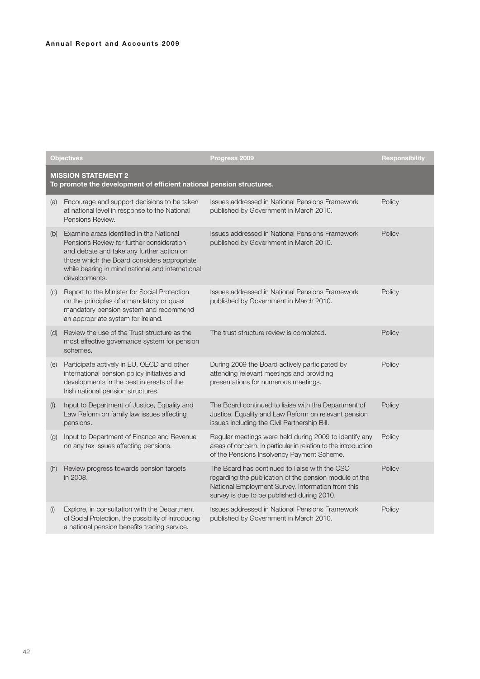|     | <b>Objectives</b>                                                                                                                                                                                                                                      | Progress 2009                                                                                                                                                                                               | Responsibility |  |
|-----|--------------------------------------------------------------------------------------------------------------------------------------------------------------------------------------------------------------------------------------------------------|-------------------------------------------------------------------------------------------------------------------------------------------------------------------------------------------------------------|----------------|--|
|     | <b>MISSION STATEMENT 2</b><br>To promote the development of efficient national pension structures.                                                                                                                                                     |                                                                                                                                                                                                             |                |  |
| (a) | Encourage and support decisions to be taken<br>at national level in response to the National<br>Pensions Review.                                                                                                                                       | Issues addressed in National Pensions Framework<br>published by Government in March 2010.                                                                                                                   | Policy         |  |
| (b) | Examine areas identified in the National<br>Pensions Review for further consideration<br>and debate and take any further action on<br>those which the Board considers appropriate<br>while bearing in mind national and international<br>developments. | Issues addressed in National Pensions Framework<br>published by Government in March 2010.                                                                                                                   | Policy         |  |
| (C) | Report to the Minister for Social Protection<br>on the principles of a mandatory or quasi<br>mandatory pension system and recommend<br>an appropriate system for Ireland.                                                                              | Issues addressed in National Pensions Framework<br>published by Government in March 2010.                                                                                                                   | Policy         |  |
| (d) | Review the use of the Trust structure as the<br>most effective governance system for pension<br>schemes.                                                                                                                                               | The trust structure review is completed.                                                                                                                                                                    | Policy         |  |
| (e) | Participate actively in EU, OECD and other<br>international pension policy initiatives and<br>developments in the best interests of the<br>Irish national pension structures.                                                                          | During 2009 the Board actively participated by<br>attending relevant meetings and providing<br>presentations for numerous meetings.                                                                         | Policy         |  |
| (f) | Input to Department of Justice, Equality and<br>Law Reform on family law issues affecting<br>pensions.                                                                                                                                                 | The Board continued to liaise with the Department of<br>Justice, Equality and Law Reform on relevant pension<br>issues including the Civil Partnership Bill.                                                | Policy         |  |
| (g) | Input to Department of Finance and Revenue<br>on any tax issues affecting pensions.                                                                                                                                                                    | Regular meetings were held during 2009 to identify any<br>areas of concern, in particular in relation to the introduction<br>of the Pensions Insolvency Payment Scheme.                                     | Policy         |  |
| (h) | Review progress towards pension targets<br>in 2008.                                                                                                                                                                                                    | The Board has continued to liaise with the CSO<br>regarding the publication of the pension module of the<br>National Employment Survey. Information from this<br>survey is due to be published during 2010. | Policy         |  |
| (i) | Explore, in consultation with the Department<br>of Social Protection, the possibility of introducing<br>a national pension benefits tracing service.                                                                                                   | Issues addressed in National Pensions Framework<br>published by Government in March 2010.                                                                                                                   | Policy         |  |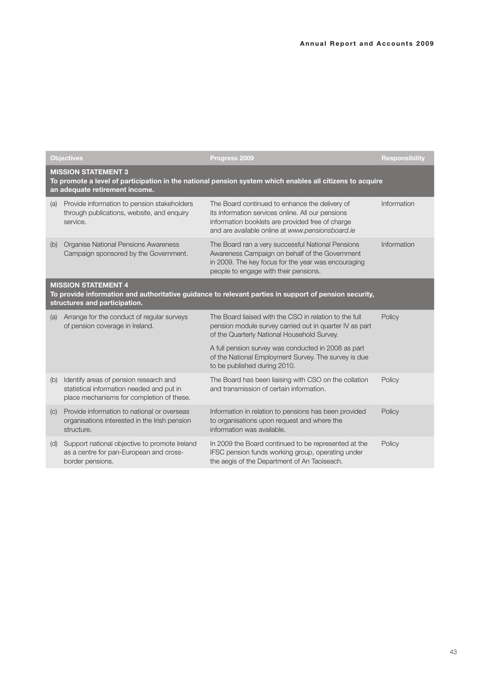|                                                                                                                                                                      | <b>Objectives</b>                                                                                                                                                        | Progress 2009                                                                                                                                                                                               | <b>Responsibility</b> |  |
|----------------------------------------------------------------------------------------------------------------------------------------------------------------------|--------------------------------------------------------------------------------------------------------------------------------------------------------------------------|-------------------------------------------------------------------------------------------------------------------------------------------------------------------------------------------------------------|-----------------------|--|
|                                                                                                                                                                      | <b>MISSION STATEMENT 3</b><br>To promote a level of participation in the national pension system which enables all citizens to acquire<br>an adequate retirement income. |                                                                                                                                                                                                             |                       |  |
| (a)                                                                                                                                                                  | Provide information to pension stakeholders<br>through publications, website, and enquiry<br>service.                                                                    | The Board continued to enhance the delivery of<br>its information services online. All our pensions<br>information booklets are provided free of charge<br>and are available online at www.pensionsboard.ie | Information           |  |
| (b)                                                                                                                                                                  | Organise National Pensions Awareness<br>Campaign sponsored by the Government.                                                                                            | The Board ran a very successful National Pensions<br>Awareness Campaign on behalf of the Government<br>in 2009. The key focus for the year was encouraging<br>people to engage with their pensions.         | Information           |  |
| <b>MISSION STATEMENT 4</b><br>To provide information and authoritative guidance to relevant parties in support of pension security,<br>structures and participation. |                                                                                                                                                                          |                                                                                                                                                                                                             |                       |  |
| (a)                                                                                                                                                                  | Arrange for the conduct of regular surveys<br>of pension coverage in Ireland.                                                                                            | The Board liaised with the CSO in relation to the full<br>pension module survey carried out in quarter IV as part<br>of the Quarterly National Household Survey.                                            | Policy                |  |
|                                                                                                                                                                      |                                                                                                                                                                          | A full pension survey was conducted in 2008 as part<br>of the National Employment Survey. The survey is due<br>to be published during 2010.                                                                 |                       |  |
| (b)                                                                                                                                                                  | Identify areas of pension research and<br>statistical information needed and put in<br>place mechanisms for completion of these.                                         | The Board has been liaising with CSO on the collation<br>and transmission of certain information.                                                                                                           | Policy                |  |
| (C)                                                                                                                                                                  | Provide information to national or overseas<br>organisations interested in the Irish pension<br>structure.                                                               | Information in relation to pensions has been provided<br>to organisations upon request and where the<br>information was available.                                                                          | Policy                |  |
| (d)                                                                                                                                                                  | Support national objective to promote Ireland<br>as a centre for pan-European and cross-<br>border pensions.                                                             | In 2009 the Board continued to be represented at the<br>IFSC pension funds working group, operating under<br>the aegis of the Department of An Taoiseach.                                                   | Policy                |  |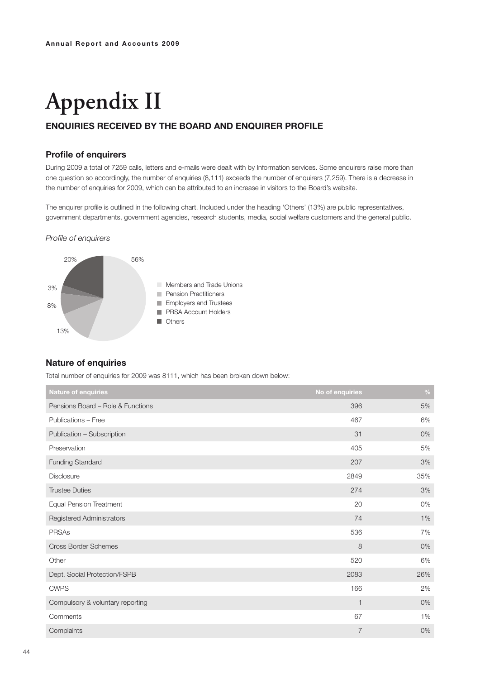# **Appendix II ENQUIRIES RECEIVED BY THE BOARD AND ENQUIRER PROFILE**

### **Profile of enquirers**

During 2009 a total of 7259 calls, letters and e-mails were dealt with by Information services. Some enquirers raise more than one question so accordingly, the number of enquiries (8,111) exceeds the number of enquirers (7,259). There is a decrease in the number of enquiries for 2009, which can be attributed to an increase in visitors to the Board's website.

The enquirer profile is outlined in the following chart. Included under the heading 'Others' (13%) are public representatives, government departments, government agencies, research students, media, social welfare customers and the general public.

#### *Profile of enquirers*



#### **Nature of enquiries**

Total number of enquiries for 2009 was 8111, which has been broken down below:

| <b>Nature of enquiries</b>        | No of enquiries | $\frac{0}{0}$ |
|-----------------------------------|-----------------|---------------|
| Pensions Board - Role & Functions | 396             | 5%            |
| Publications - Free               | 467             | 6%            |
| Publication - Subscription        | 31              | 0%            |
| Preservation                      | 405             | 5%            |
| <b>Funding Standard</b>           | 207             | 3%            |
| <b>Disclosure</b>                 | 2849            | 35%           |
| <b>Trustee Duties</b>             | 274             | 3%            |
| <b>Equal Pension Treatment</b>    | 20              | 0%            |
| Registered Administrators         | 74              | 1%            |
| <b>PRSAs</b>                      | 536             | 7%            |
| <b>Cross Border Schemes</b>       | 8               | 0%            |
| Other                             | 520             | 6%            |
| Dept. Social Protection/FSPB      | 2083            | 26%           |
| <b>CWPS</b>                       | 166             | 2%            |
| Compulsory & voluntary reporting  | $\mathbf{1}$    | 0%            |
| Comments                          | 67              | $1\%$         |
| Complaints                        | $\overline{7}$  | 0%            |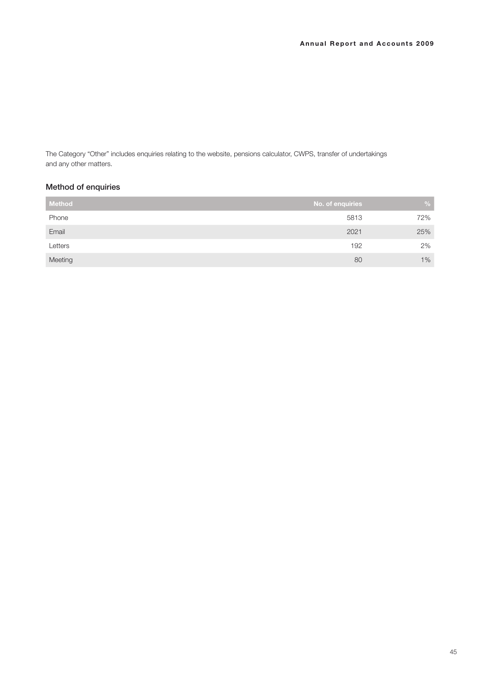The Category "Other" includes enquiries relating to the website, pensions calculator, CWPS, transfer of undertakings and any other matters.

### Method of enquiries

| Method  | No. of enquiries | $\frac{0}{0}$ |
|---------|------------------|---------------|
| Phone   | 5813             | 72%           |
| Email   | 2021             | 25%           |
| Letters | 192              | 2%            |
| Meeting | 80               | $1\%$         |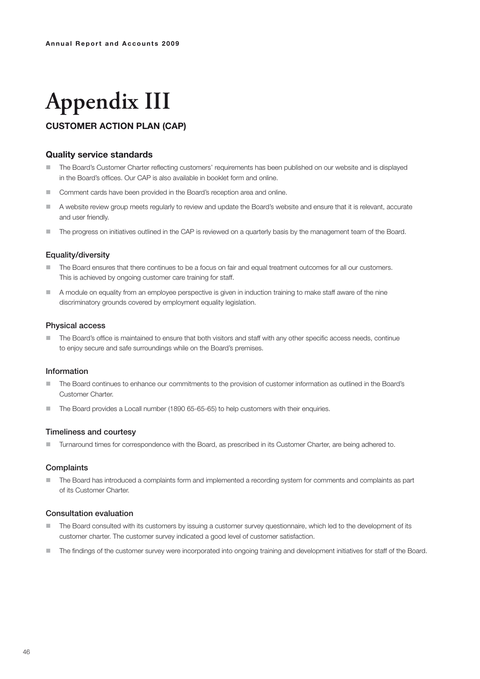## **Appendix III CUSTOMER ACTION PLAN (CAP)**

### **Quality service standards**

- The Board's Customer Charter reflecting customers' requirements has been published on our website and is displayed in the Board's offices. Our CAP is also available in booklet form and online.
- Comment cards have been provided in the Board's reception area and online.
- n A website review group meets regularly to review and update the Board's website and ensure that it is relevant, accurate and user friendly.
- The progress on initiatives outlined in the CAP is reviewed on a quarterly basis by the management team of the Board.

#### Equality/diversity

- $\blacksquare$  The Board ensures that there continues to be a focus on fair and equal treatment outcomes for all our customers. This is achieved by ongoing customer care training for staff.
- A module on equality from an employee perspective is given in induction training to make staff aware of the nine discriminatory grounds covered by employment equality legislation.

#### Physical access

 $\blacksquare$  The Board's office is maintained to ensure that both visitors and staff with any other specific access needs, continue to enjoy secure and safe surroundings while on the Board's premises.

#### Information

- The Board continues to enhance our commitments to the provision of customer information as outlined in the Board's Customer Charter.
- The Board provides a Locall number (1890 65-65-65) to help customers with their enquiries.

#### Timeliness and courtesy

■ Turnaround times for correspondence with the Board, as prescribed in its Customer Charter, are being adhered to.

#### **Complaints**

■ The Board has introduced a complaints form and implemented a recording system for comments and complaints as part of its Customer Charter.

#### Consultation evaluation

- The Board consulted with its customers by issuing a customer survey questionnaire, which led to the development of its customer charter. The customer survey indicated a good level of customer satisfaction.
- The findings of the customer survey were incorporated into ongoing training and development initiatives for staff of the Board.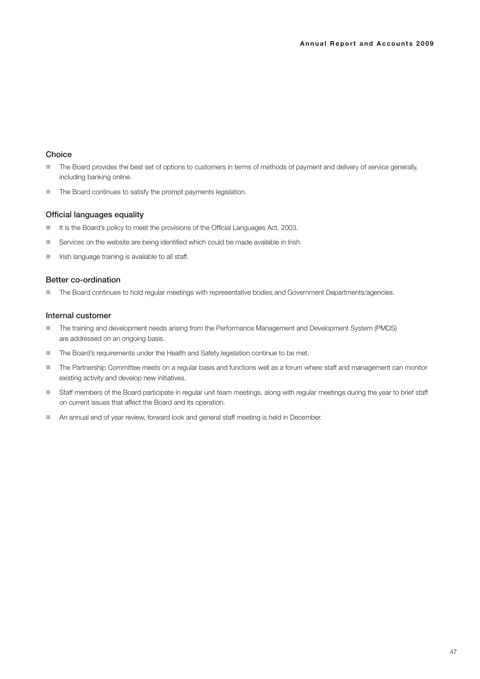#### **Choice**

- The Board provides the best set of options to customers in terms of methods of payment and delivery of service generally, including banking online.
- $\blacksquare$  The Board continues to satisfy the prompt payments legislation.

#### Official languages equality

- $\blacksquare$  It is the Board's policy to meet the provisions of the Official Languages Act, 2003.
- Services on the website are being identified which could be made available in Irish.
- $\blacksquare$  Irish language training is available to all staff.

#### Better co-ordination

■ The Board continues to hold regular meetings with representative bodies and Government Departments/agencies.

#### Internal customer

- The training and development needs arising from the Performance Management and Development System (PMDS) are addressed on an ongoing basis.
- The Board's requirements under the Health and Safety legislation continue to be met.
- The Partnership Committee meets on a regular basis and functions well as a forum where staff and management can monitor existing activity and develop new initiatives.
- Staff members of the Board participate in regular unit team meetings, along with regular meetings during the year to brief staff on current issues that affect the Board and its operation.
- **n** An annual end of year review, forward look and general staff meeting is held in December.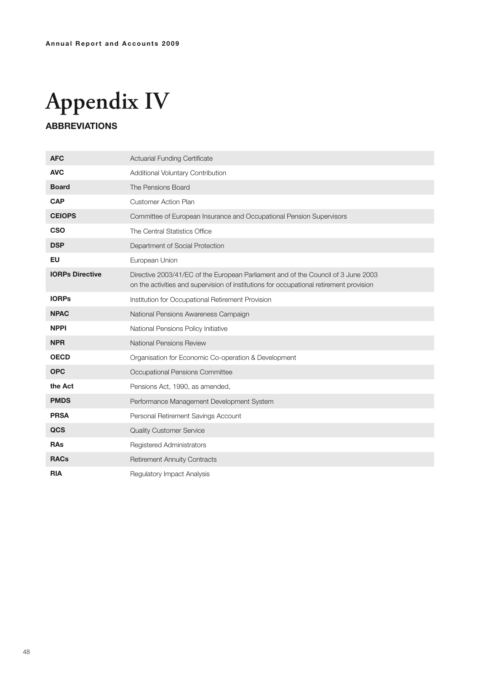## **Appendix IV ABBREVIATIONS**

### **AFC** Actuarial Funding Certificate AVC Additional Voluntary Contribution **Board** The Pensions Board CAP Customer Action Plan **CEIOPS** Committee of European Insurance and Occupational Pension Supervisors **CSO** The Central Statistics Office **DSP** Department of Social Protection EU European Union **IORPs Directive** Directive 2003/41/EC of the European Parliament and of the Council of 3 June 2003 on the activities and supervision of institutions for occupational retirement provision **IORPs** Institution for Occupational Retirement Provision **NPAC** National Pensions Awareness Campaign **NPPI** National Pensions Policy Initiative **NPR** National Pensions Review **OECD** Organisation for Economic Co-operation & Development **OPC** Occupational Pensions Committee the Act Pensions Act, 1990, as amended, PMDS Performance Management Development System **PRSA** Personal Retirement Savings Account **QCS** Quality Customer Service RAs Registered Administrators **RACs** Retirement Annuity Contracts RIA Regulatory Impact Analysis